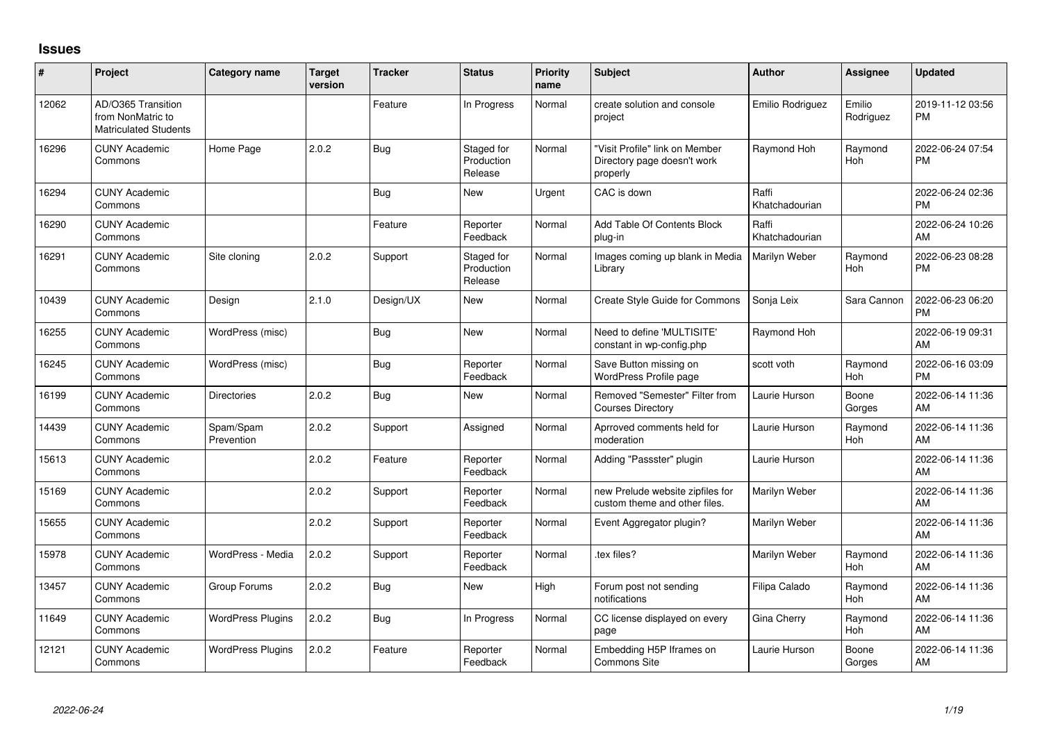## **Issues**

| ∦     | Project                                                                 | Category name            | <b>Target</b><br>version | <b>Tracker</b> | <b>Status</b>                       | <b>Priority</b><br>name | Subject                                                                   | <b>Author</b>           | <b>Assignee</b>     | <b>Updated</b>                |
|-------|-------------------------------------------------------------------------|--------------------------|--------------------------|----------------|-------------------------------------|-------------------------|---------------------------------------------------------------------------|-------------------------|---------------------|-------------------------------|
| 12062 | AD/O365 Transition<br>from NonMatric to<br><b>Matriculated Students</b> |                          |                          | Feature        | In Progress                         | Normal                  | create solution and console<br>project                                    | Emilio Rodriguez        | Emilio<br>Rodriguez | 2019-11-12 03:56<br>PM        |
| 16296 | <b>CUNY Academic</b><br>Commons                                         | Home Page                | 2.0.2                    | <b>Bug</b>     | Staged for<br>Production<br>Release | Normal                  | "Visit Profile" link on Member<br>Directory page doesn't work<br>properly | Raymond Hoh             | Raymond<br>Hoh      | 2022-06-24 07:54<br>PM        |
| 16294 | <b>CUNY Academic</b><br>Commons                                         |                          |                          | <b>Bug</b>     | <b>New</b>                          | Urgent                  | CAC is down                                                               | Raffi<br>Khatchadourian |                     | 2022-06-24 02:36<br><b>PM</b> |
| 16290 | <b>CUNY Academic</b><br>Commons                                         |                          |                          | Feature        | Reporter<br>Feedback                | Normal                  | Add Table Of Contents Block<br>plug-in                                    | Raffi<br>Khatchadourian |                     | 2022-06-24 10:26<br>AM        |
| 16291 | <b>CUNY Academic</b><br>Commons                                         | Site cloning             | 2.0.2                    | Support        | Staged for<br>Production<br>Release | Normal                  | Images coming up blank in Media<br>Library                                | Marilyn Weber           | Raymond<br>Hoh      | 2022-06-23 08:28<br><b>PM</b> |
| 10439 | <b>CUNY Academic</b><br>Commons                                         | Design                   | 2.1.0                    | Design/UX      | <b>New</b>                          | Normal                  | Create Style Guide for Commons                                            | Sonja Leix              | Sara Cannon         | 2022-06-23 06:20<br><b>PM</b> |
| 16255 | <b>CUNY Academic</b><br>Commons                                         | WordPress (misc)         |                          | <b>Bug</b>     | <b>New</b>                          | Normal                  | Need to define 'MULTISITE'<br>constant in wp-config.php                   | Raymond Hoh             |                     | 2022-06-19 09:31<br>AM        |
| 16245 | <b>CUNY Academic</b><br>Commons                                         | WordPress (misc)         |                          | <b>Bug</b>     | Reporter<br>Feedback                | Normal                  | Save Button missing on<br><b>WordPress Profile page</b>                   | scott voth              | Raymond<br>Hoh      | 2022-06-16 03:09<br><b>PM</b> |
| 16199 | <b>CUNY Academic</b><br>Commons                                         | <b>Directories</b>       | 2.0.2                    | <b>Bug</b>     | <b>New</b>                          | Normal                  | Removed "Semester" Filter from<br><b>Courses Directory</b>                | Laurie Hurson           | Boone<br>Gorges     | 2022-06-14 11:36<br>AM        |
| 14439 | <b>CUNY Academic</b><br>Commons                                         | Spam/Spam<br>Prevention  | 2.0.2                    | Support        | Assigned                            | Normal                  | Aprroved comments held for<br>moderation                                  | Laurie Hurson           | Raymond<br>Hoh      | 2022-06-14 11:36<br>AM        |
| 15613 | <b>CUNY Academic</b><br>Commons                                         |                          | 2.0.2                    | Feature        | Reporter<br>Feedback                | Normal                  | Adding "Passster" plugin                                                  | Laurie Hurson           |                     | 2022-06-14 11:36<br>AM        |
| 15169 | <b>CUNY Academic</b><br>Commons                                         |                          | 2.0.2                    | Support        | Reporter<br>Feedback                | Normal                  | new Prelude website zipfiles for<br>custom theme and other files.         | Marilyn Weber           |                     | 2022-06-14 11:36<br>AM        |
| 15655 | <b>CUNY Academic</b><br>Commons                                         |                          | 2.0.2                    | Support        | Reporter<br>Feedback                | Normal                  | Event Aggregator plugin?                                                  | Marilyn Weber           |                     | 2022-06-14 11:36<br>AM        |
| 15978 | <b>CUNY Academic</b><br>Commons                                         | WordPress - Media        | 2.0.2                    | Support        | Reporter<br>Feedback                | Normal                  | tex files?                                                                | Marilyn Weber           | Raymond<br>Hoh      | 2022-06-14 11:36<br>AM        |
| 13457 | <b>CUNY Academic</b><br>Commons                                         | Group Forums             | 2.0.2                    | <b>Bug</b>     | New                                 | High                    | Forum post not sending<br>notifications                                   | Filipa Calado           | Raymond<br>Hoh      | 2022-06-14 11:36<br>AM        |
| 11649 | <b>CUNY Academic</b><br>Commons                                         | <b>WordPress Plugins</b> | 2.0.2                    | <b>Bug</b>     | In Progress                         | Normal                  | CC license displayed on every<br>page                                     | Gina Cherry             | Raymond<br>Hoh      | 2022-06-14 11:36<br>AM        |
| 12121 | <b>CUNY Academic</b><br>Commons                                         | <b>WordPress Plugins</b> | 2.0.2                    | Feature        | Reporter<br>Feedback                | Normal                  | Embedding H5P Iframes on<br><b>Commons Site</b>                           | Laurie Hurson           | Boone<br>Gorges     | 2022-06-14 11:36<br>AM        |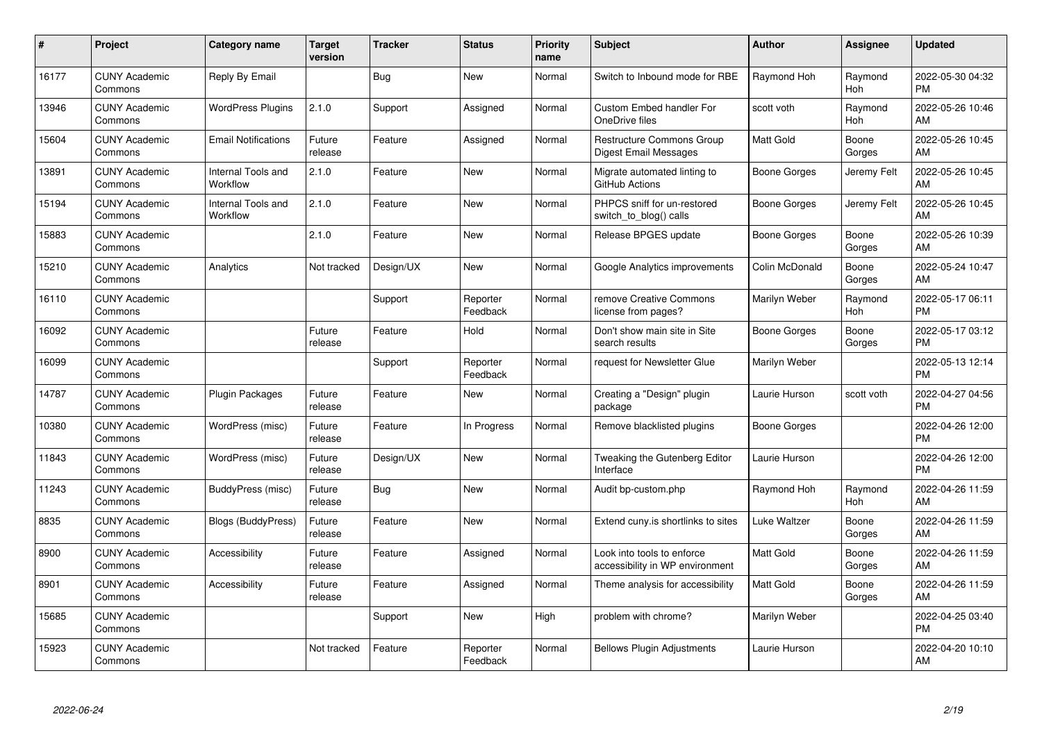| $\#$  | Project                         | <b>Category name</b>           | <b>Target</b><br>version | <b>Tracker</b> | <b>Status</b>        | <b>Priority</b><br>name | <b>Subject</b>                                                | Author              | <b>Assignee</b>       | <b>Updated</b>                |
|-------|---------------------------------|--------------------------------|--------------------------|----------------|----------------------|-------------------------|---------------------------------------------------------------|---------------------|-----------------------|-------------------------------|
| 16177 | <b>CUNY Academic</b><br>Commons | Reply By Email                 |                          | <b>Bug</b>     | <b>New</b>           | Normal                  | Switch to Inbound mode for RBE                                | Raymond Hoh         | Raymond<br><b>Hoh</b> | 2022-05-30 04:32<br><b>PM</b> |
| 13946 | <b>CUNY Academic</b><br>Commons | <b>WordPress Plugins</b>       | 2.1.0                    | Support        | Assigned             | Normal                  | <b>Custom Embed handler For</b><br>OneDrive files             | scott voth          | Raymond<br>Hoh        | 2022-05-26 10:46<br>AM        |
| 15604 | <b>CUNY Academic</b><br>Commons | <b>Email Notifications</b>     | Future<br>release        | Feature        | Assigned             | Normal                  | <b>Restructure Commons Group</b><br>Digest Email Messages     | Matt Gold           | Boone<br>Gorges       | 2022-05-26 10:45<br>AM        |
| 13891 | <b>CUNY Academic</b><br>Commons | Internal Tools and<br>Workflow | 2.1.0                    | Feature        | <b>New</b>           | Normal                  | Migrate automated linting to<br>GitHub Actions                | Boone Gorges        | Jeremy Felt           | 2022-05-26 10:45<br>AM        |
| 15194 | <b>CUNY Academic</b><br>Commons | Internal Tools and<br>Workflow | 2.1.0                    | Feature        | <b>New</b>           | Normal                  | PHPCS sniff for un-restored<br>switch_to_blog() calls         | Boone Gorges        | Jeremy Felt           | 2022-05-26 10:45<br>AM        |
| 15883 | <b>CUNY Academic</b><br>Commons |                                | 2.1.0                    | Feature        | New                  | Normal                  | Release BPGES update                                          | <b>Boone Gorges</b> | Boone<br>Gorges       | 2022-05-26 10:39<br>AM        |
| 15210 | <b>CUNY Academic</b><br>Commons | Analytics                      | Not tracked              | Design/UX      | <b>New</b>           | Normal                  | Google Analytics improvements                                 | Colin McDonald      | Boone<br>Gorges       | 2022-05-24 10:47<br>AM        |
| 16110 | <b>CUNY Academic</b><br>Commons |                                |                          | Support        | Reporter<br>Feedback | Normal                  | remove Creative Commons<br>license from pages?                | Marilyn Weber       | Raymond<br>Hoh        | 2022-05-17 06:11<br><b>PM</b> |
| 16092 | <b>CUNY Academic</b><br>Commons |                                | Future<br>release        | Feature        | Hold                 | Normal                  | Don't show main site in Site<br>search results                | Boone Gorges        | Boone<br>Gorges       | 2022-05-17 03:12<br><b>PM</b> |
| 16099 | <b>CUNY Academic</b><br>Commons |                                |                          | Support        | Reporter<br>Feedback | Normal                  | request for Newsletter Glue                                   | Marilyn Weber       |                       | 2022-05-13 12:14<br><b>PM</b> |
| 14787 | <b>CUNY Academic</b><br>Commons | <b>Plugin Packages</b>         | Future<br>release        | Feature        | <b>New</b>           | Normal                  | Creating a "Design" plugin<br>package                         | Laurie Hurson       | scott voth            | 2022-04-27 04:56<br><b>PM</b> |
| 10380 | <b>CUNY Academic</b><br>Commons | WordPress (misc)               | Future<br>release        | Feature        | In Progress          | Normal                  | Remove blacklisted plugins                                    | Boone Gorges        |                       | 2022-04-26 12:00<br><b>PM</b> |
| 11843 | <b>CUNY Academic</b><br>Commons | WordPress (misc)               | Future<br>release        | Design/UX      | New                  | Normal                  | Tweaking the Gutenberg Editor<br>Interface                    | Laurie Hurson       |                       | 2022-04-26 12:00<br><b>PM</b> |
| 11243 | <b>CUNY Academic</b><br>Commons | BuddyPress (misc)              | Future<br>release        | Bug            | <b>New</b>           | Normal                  | Audit bp-custom.php                                           | Raymond Hoh         | Raymond<br>Hoh        | 2022-04-26 11:59<br>AM        |
| 8835  | <b>CUNY Academic</b><br>Commons | Blogs (BuddyPress)             | Future<br>release        | Feature        | <b>New</b>           | Normal                  | Extend cuny.is shortlinks to sites                            | Luke Waltzer        | Boone<br>Gorges       | 2022-04-26 11:59<br>AM        |
| 8900  | <b>CUNY Academic</b><br>Commons | Accessibility                  | Future<br>release        | Feature        | Assigned             | Normal                  | Look into tools to enforce<br>accessibility in WP environment | Matt Gold           | Boone<br>Gorges       | 2022-04-26 11:59<br>AM        |
| 8901  | <b>CUNY Academic</b><br>Commons | Accessibility                  | Future<br>release        | Feature        | Assigned             | Normal                  | Theme analysis for accessibility                              | <b>Matt Gold</b>    | Boone<br>Gorges       | 2022-04-26 11:59<br>AM        |
| 15685 | <b>CUNY Academic</b><br>Commons |                                |                          | Support        | <b>New</b>           | High                    | problem with chrome?                                          | Marilyn Weber       |                       | 2022-04-25 03:40<br><b>PM</b> |
| 15923 | <b>CUNY Academic</b><br>Commons |                                | Not tracked              | Feature        | Reporter<br>Feedback | Normal                  | <b>Bellows Plugin Adjustments</b>                             | Laurie Hurson       |                       | 2022-04-20 10:10<br>AM        |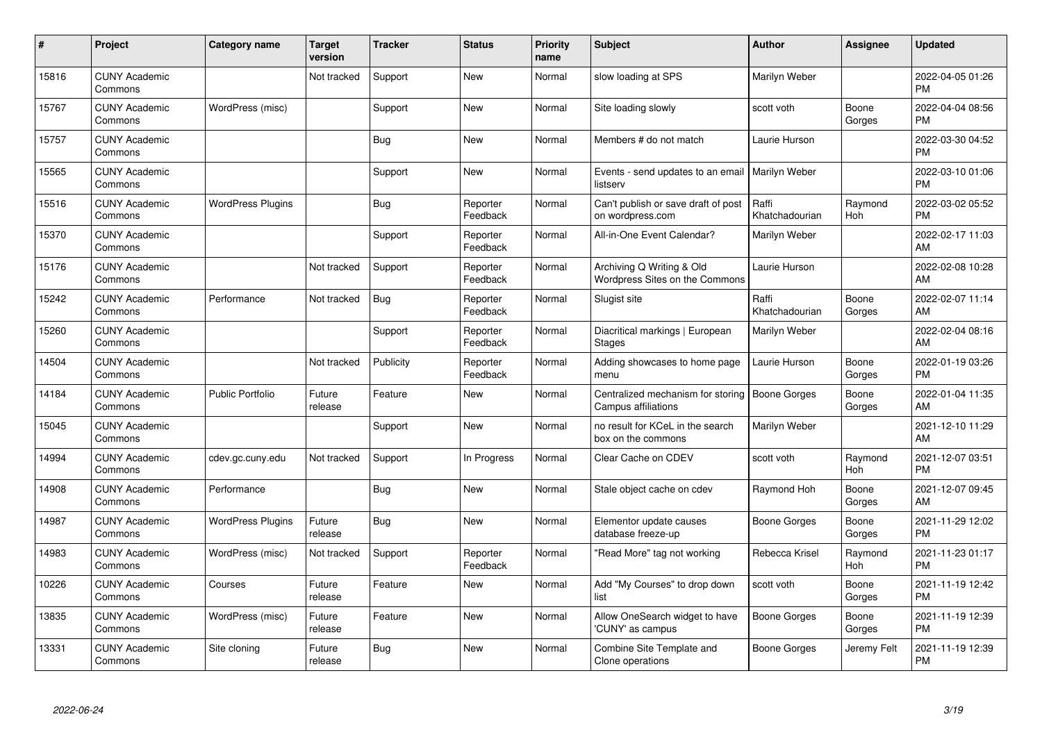| #     | Project                         | <b>Category name</b>     | <b>Target</b><br>version | <b>Tracker</b> | <b>Status</b>        | <b>Priority</b><br>name | <b>Subject</b>                                                     | <b>Author</b>           | <b>Assignee</b> | <b>Updated</b>                |
|-------|---------------------------------|--------------------------|--------------------------|----------------|----------------------|-------------------------|--------------------------------------------------------------------|-------------------------|-----------------|-------------------------------|
| 15816 | <b>CUNY Academic</b><br>Commons |                          | Not tracked              | Support        | <b>New</b>           | Normal                  | slow loading at SPS                                                | Marilyn Weber           |                 | 2022-04-05 01:26<br><b>PM</b> |
| 15767 | <b>CUNY Academic</b><br>Commons | WordPress (misc)         |                          | Support        | New                  | Normal                  | Site loading slowly                                                | scott voth              | Boone<br>Gorges | 2022-04-04 08:56<br><b>PM</b> |
| 15757 | <b>CUNY Academic</b><br>Commons |                          |                          | <b>Bug</b>     | <b>New</b>           | Normal                  | Members # do not match                                             | Laurie Hurson           |                 | 2022-03-30 04:52<br><b>PM</b> |
| 15565 | <b>CUNY Academic</b><br>Commons |                          |                          | Support        | <b>New</b>           | Normal                  | Events - send updates to an email<br>listserv                      | Marilyn Weber           |                 | 2022-03-10 01:06<br><b>PM</b> |
| 15516 | <b>CUNY Academic</b><br>Commons | <b>WordPress Plugins</b> |                          | <b>Bug</b>     | Reporter<br>Feedback | Normal                  | Can't publish or save draft of post<br>on wordpress.com            | Raffi<br>Khatchadourian | Raymond<br>Hoh  | 2022-03-02 05:52<br><b>PM</b> |
| 15370 | <b>CUNY Academic</b><br>Commons |                          |                          | Support        | Reporter<br>Feedback | Normal                  | All-in-One Event Calendar?                                         | Marilyn Weber           |                 | 2022-02-17 11:03<br>AM        |
| 15176 | <b>CUNY Academic</b><br>Commons |                          | Not tracked              | Support        | Reporter<br>Feedback | Normal                  | Archiving Q Writing & Old<br><b>Wordpress Sites on the Commons</b> | Laurie Hurson           |                 | 2022-02-08 10:28<br>AM        |
| 15242 | <b>CUNY Academic</b><br>Commons | Performance              | Not tracked              | <b>Bug</b>     | Reporter<br>Feedback | Normal                  | Slugist site                                                       | Raffi<br>Khatchadourian | Boone<br>Gorges | 2022-02-07 11:14<br>AM        |
| 15260 | <b>CUNY Academic</b><br>Commons |                          |                          | Support        | Reporter<br>Feedback | Normal                  | Diacritical markings   European<br><b>Stages</b>                   | Marilyn Weber           |                 | 2022-02-04 08:16<br>AM        |
| 14504 | <b>CUNY Academic</b><br>Commons |                          | Not tracked              | Publicity      | Reporter<br>Feedback | Normal                  | Adding showcases to home page<br>menu                              | Laurie Hurson           | Boone<br>Gorges | 2022-01-19 03:26<br><b>PM</b> |
| 14184 | <b>CUNY Academic</b><br>Commons | <b>Public Portfolio</b>  | Future<br>release        | Feature        | <b>New</b>           | Normal                  | Centralized mechanism for storing<br>Campus affiliations           | <b>Boone Gorges</b>     | Boone<br>Gorges | 2022-01-04 11:35<br>AM        |
| 15045 | <b>CUNY Academic</b><br>Commons |                          |                          | Support        | <b>New</b>           | Normal                  | no result for KCeL in the search<br>box on the commons             | Marilyn Weber           |                 | 2021-12-10 11:29<br>AM        |
| 14994 | <b>CUNY Academic</b><br>Commons | cdev.gc.cuny.edu         | Not tracked              | Support        | In Progress          | Normal                  | Clear Cache on CDEV                                                | scott voth              | Raymond<br>Hoh  | 2021-12-07 03:51<br><b>PM</b> |
| 14908 | <b>CUNY Academic</b><br>Commons | Performance              |                          | <b>Bug</b>     | <b>New</b>           | Normal                  | Stale object cache on cdev                                         | Raymond Hoh             | Boone<br>Gorges | 2021-12-07 09:45<br>AM        |
| 14987 | <b>CUNY Academic</b><br>Commons | <b>WordPress Plugins</b> | Future<br>release        | Bug            | New                  | Normal                  | Elementor update causes<br>database freeze-up                      | <b>Boone Gorges</b>     | Boone<br>Gorges | 2021-11-29 12:02<br><b>PM</b> |
| 14983 | <b>CUNY Academic</b><br>Commons | WordPress (misc)         | Not tracked              | Support        | Reporter<br>Feedback | Normal                  | "Read More" tag not working                                        | Rebecca Krisel          | Raymond<br>Hoh  | 2021-11-23 01:17<br><b>PM</b> |
| 10226 | <b>CUNY Academic</b><br>Commons | Courses                  | Future<br>release        | Feature        | New                  | Normal                  | Add "My Courses" to drop down<br>list                              | scott voth              | Boone<br>Gorges | 2021-11-19 12:42<br><b>PM</b> |
| 13835 | <b>CUNY Academic</b><br>Commons | WordPress (misc)         | Future<br>release        | Feature        | <b>New</b>           | Normal                  | Allow OneSearch widget to have<br>'CUNY' as campus                 | Boone Gorges            | Boone<br>Gorges | 2021-11-19 12:39<br><b>PM</b> |
| 13331 | <b>CUNY Academic</b><br>Commons | Site cloning             | Future<br>release        | <b>Bug</b>     | <b>New</b>           | Normal                  | Combine Site Template and<br>Clone operations                      | <b>Boone Gorges</b>     | Jeremy Felt     | 2021-11-19 12:39<br><b>PM</b> |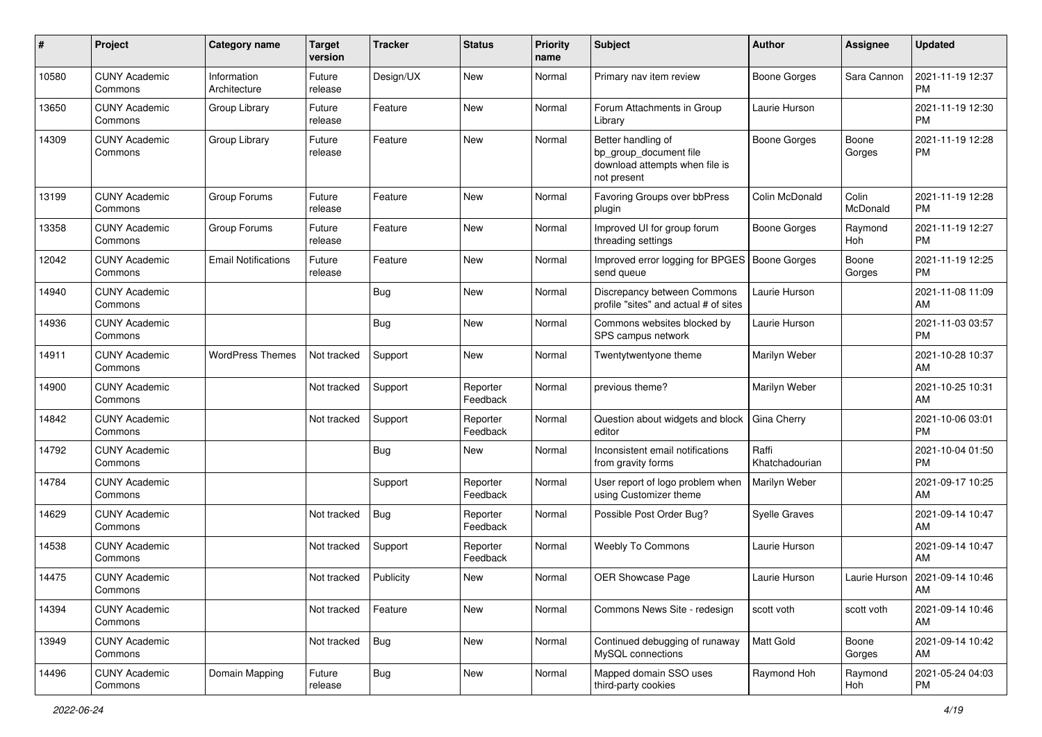| #     | Project                         | <b>Category name</b>        | <b>Target</b><br>version | <b>Tracker</b> | <b>Status</b>        | <b>Priority</b><br>name | Subject                                                                                       | Author                  | Assignee          | <b>Updated</b>                         |
|-------|---------------------------------|-----------------------------|--------------------------|----------------|----------------------|-------------------------|-----------------------------------------------------------------------------------------------|-------------------------|-------------------|----------------------------------------|
| 10580 | <b>CUNY Academic</b><br>Commons | Information<br>Architecture | Future<br>release        | Design/UX      | <b>New</b>           | Normal                  | Primary nav item review                                                                       | <b>Boone Gorges</b>     | Sara Cannon       | 2021-11-19 12:37<br>PM                 |
| 13650 | <b>CUNY Academic</b><br>Commons | Group Library               | Future<br>release        | Feature        | <b>New</b>           | Normal                  | Forum Attachments in Group<br>Library                                                         | Laurie Hurson           |                   | 2021-11-19 12:30<br><b>PM</b>          |
| 14309 | <b>CUNY Academic</b><br>Commons | Group Library               | Future<br>release        | Feature        | <b>New</b>           | Normal                  | Better handling of<br>bp group document file<br>download attempts when file is<br>not present | <b>Boone Gorges</b>     | Boone<br>Gorges   | 2021-11-19 12:28<br><b>PM</b>          |
| 13199 | <b>CUNY Academic</b><br>Commons | Group Forums                | Future<br>release        | Feature        | <b>New</b>           | Normal                  | Favoring Groups over bbPress<br>plugin                                                        | Colin McDonald          | Colin<br>McDonald | 2021-11-19 12:28<br><b>PM</b>          |
| 13358 | <b>CUNY Academic</b><br>Commons | Group Forums                | Future<br>release        | Feature        | <b>New</b>           | Normal                  | Improved UI for group forum<br>threading settings                                             | <b>Boone Gorges</b>     | Raymond<br>Hoh    | 2021-11-19 12:27<br>PM                 |
| 12042 | <b>CUNY Academic</b><br>Commons | <b>Email Notifications</b>  | Future<br>release        | Feature        | New                  | Normal                  | Improved error logging for BPGES<br>send queue                                                | Boone Gorges            | Boone<br>Gorges   | 2021-11-19 12:25<br>PM                 |
| 14940 | <b>CUNY Academic</b><br>Commons |                             |                          | <b>Bug</b>     | <b>New</b>           | Normal                  | Discrepancy between Commons<br>profile "sites" and actual # of sites                          | Laurie Hurson           |                   | 2021-11-08 11:09<br>AM                 |
| 14936 | <b>CUNY Academic</b><br>Commons |                             |                          | <b>Bug</b>     | <b>New</b>           | Normal                  | Commons websites blocked by<br>SPS campus network                                             | Laurie Hurson           |                   | 2021-11-03 03:57<br><b>PM</b>          |
| 14911 | <b>CUNY Academic</b><br>Commons | <b>WordPress Themes</b>     | Not tracked              | Support        | New                  | Normal                  | Twentytwentyone theme                                                                         | Marilyn Weber           |                   | 2021-10-28 10:37<br>AM                 |
| 14900 | <b>CUNY Academic</b><br>Commons |                             | Not tracked              | Support        | Reporter<br>Feedback | Normal                  | previous theme?                                                                               | Marilyn Weber           |                   | 2021-10-25 10:31<br>AM                 |
| 14842 | <b>CUNY Academic</b><br>Commons |                             | Not tracked              | Support        | Reporter<br>Feedback | Normal                  | Question about widgets and block<br>editor                                                    | Gina Cherry             |                   | 2021-10-06 03:01<br><b>PM</b>          |
| 14792 | <b>CUNY Academic</b><br>Commons |                             |                          | <b>Bug</b>     | New                  | Normal                  | Inconsistent email notifications<br>from gravity forms                                        | Raffi<br>Khatchadourian |                   | 2021-10-04 01:50<br><b>PM</b>          |
| 14784 | <b>CUNY Academic</b><br>Commons |                             |                          | Support        | Reporter<br>Feedback | Normal                  | User report of logo problem when<br>using Customizer theme                                    | Marilyn Weber           |                   | 2021-09-17 10:25<br>AM                 |
| 14629 | <b>CUNY Academic</b><br>Commons |                             | Not tracked              | Bug            | Reporter<br>Feedback | Normal                  | Possible Post Order Bug?                                                                      | Syelle Graves           |                   | 2021-09-14 10:47<br>AM                 |
| 14538 | <b>CUNY Academic</b><br>Commons |                             | Not tracked              | Support        | Reporter<br>Feedback | Normal                  | Weebly To Commons                                                                             | Laurie Hurson           |                   | 2021-09-14 10:47<br>AM                 |
| 14475 | <b>CUNY Academic</b><br>Commons |                             | Not tracked              | Publicity      | New                  | Normal                  | <b>OER Showcase Page</b>                                                                      | Laurie Hurson           |                   | Laurie Hurson   2021-09-14 10:46<br>AM |
| 14394 | <b>CUNY Academic</b><br>Commons |                             | Not tracked              | Feature        | New                  | Normal                  | Commons News Site - redesign                                                                  | scott voth              | scott voth        | 2021-09-14 10:46<br>AM                 |
| 13949 | <b>CUNY Academic</b><br>Commons |                             | Not tracked              | <b>Bug</b>     | New                  | Normal                  | Continued debugging of runaway<br>MySQL connections                                           | Matt Gold               | Boone<br>Gorges   | 2021-09-14 10:42<br>AM                 |
| 14496 | <b>CUNY Academic</b><br>Commons | Domain Mapping              | Future<br>release        | <b>Bug</b>     | New                  | Normal                  | Mapped domain SSO uses<br>third-party cookies                                                 | Raymond Hoh             | Raymond<br>Hoh    | 2021-05-24 04:03<br><b>PM</b>          |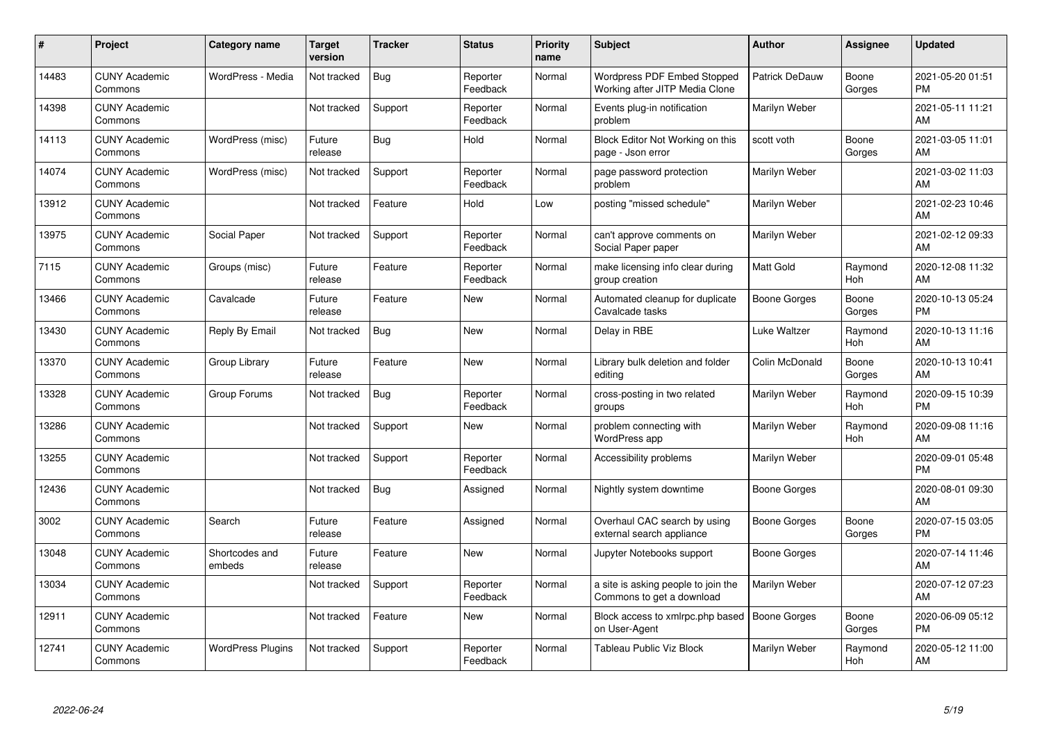| #     | Project                         | <b>Category name</b>     | <b>Target</b><br>version | <b>Tracker</b> | <b>Status</b>        | <b>Priority</b><br>name | <b>Subject</b>                                                       | <b>Author</b>       | <b>Assignee</b>       | <b>Updated</b>                |
|-------|---------------------------------|--------------------------|--------------------------|----------------|----------------------|-------------------------|----------------------------------------------------------------------|---------------------|-----------------------|-------------------------------|
| 14483 | <b>CUNY Academic</b><br>Commons | WordPress - Media        | Not tracked              | <b>Bug</b>     | Reporter<br>Feedback | Normal                  | <b>Wordpress PDF Embed Stopped</b><br>Working after JITP Media Clone | Patrick DeDauw      | Boone<br>Gorges       | 2021-05-20 01:51<br><b>PM</b> |
| 14398 | <b>CUNY Academic</b><br>Commons |                          | Not tracked              | Support        | Reporter<br>Feedback | Normal                  | Events plug-in notification<br>problem                               | Marilyn Weber       |                       | 2021-05-11 11:21<br>AM        |
| 14113 | <b>CUNY Academic</b><br>Commons | WordPress (misc)         | Future<br>release        | Bug            | Hold                 | Normal                  | Block Editor Not Working on this<br>page - Json error                | scott voth          | Boone<br>Gorges       | 2021-03-05 11:01<br>AM        |
| 14074 | <b>CUNY Academic</b><br>Commons | WordPress (misc)         | Not tracked              | Support        | Reporter<br>Feedback | Normal                  | page password protection<br>problem                                  | Marilyn Weber       |                       | 2021-03-02 11:03<br>AM        |
| 13912 | <b>CUNY Academic</b><br>Commons |                          | Not tracked              | Feature        | Hold                 | Low                     | posting "missed schedule"                                            | Marilyn Weber       |                       | 2021-02-23 10:46<br>AM        |
| 13975 | <b>CUNY Academic</b><br>Commons | Social Paper             | Not tracked              | Support        | Reporter<br>Feedback | Normal                  | can't approve comments on<br>Social Paper paper                      | Marilyn Weber       |                       | 2021-02-12 09:33<br>AM        |
| 7115  | <b>CUNY Academic</b><br>Commons | Groups (misc)            | Future<br>release        | Feature        | Reporter<br>Feedback | Normal                  | make licensing info clear during<br>group creation                   | <b>Matt Gold</b>    | Raymond<br><b>Hoh</b> | 2020-12-08 11:32<br>AM        |
| 13466 | <b>CUNY Academic</b><br>Commons | Cavalcade                | Future<br>release        | Feature        | <b>New</b>           | Normal                  | Automated cleanup for duplicate<br>Cavalcade tasks                   | Boone Gorges        | Boone<br>Gorges       | 2020-10-13 05:24<br><b>PM</b> |
| 13430 | <b>CUNY Academic</b><br>Commons | Reply By Email           | Not tracked              | <b>Bug</b>     | <b>New</b>           | Normal                  | Delay in RBE                                                         | Luke Waltzer        | Raymond<br>Hoh        | 2020-10-13 11:16<br>AM        |
| 13370 | <b>CUNY Academic</b><br>Commons | Group Library            | Future<br>release        | Feature        | <b>New</b>           | Normal                  | Library bulk deletion and folder<br>editing                          | Colin McDonald      | Boone<br>Gorges       | 2020-10-13 10:41<br>AM        |
| 13328 | <b>CUNY Academic</b><br>Commons | Group Forums             | Not tracked              | <b>Bug</b>     | Reporter<br>Feedback | Normal                  | cross-posting in two related<br>groups                               | Marilyn Weber       | Raymond<br>Hoh        | 2020-09-15 10:39<br><b>PM</b> |
| 13286 | <b>CUNY Academic</b><br>Commons |                          | Not tracked              | Support        | <b>New</b>           | Normal                  | problem connecting with<br><b>WordPress app</b>                      | Marilyn Weber       | Raymond<br>Hoh        | 2020-09-08 11:16<br>AM        |
| 13255 | <b>CUNY Academic</b><br>Commons |                          | Not tracked              | Support        | Reporter<br>Feedback | Normal                  | Accessibility problems                                               | Marilyn Weber       |                       | 2020-09-01 05:48<br><b>PM</b> |
| 12436 | <b>CUNY Academic</b><br>Commons |                          | Not tracked              | Bug            | Assigned             | Normal                  | Nightly system downtime                                              | Boone Gorges        |                       | 2020-08-01 09:30<br>AM        |
| 3002  | <b>CUNY Academic</b><br>Commons | Search                   | Future<br>release        | Feature        | Assigned             | Normal                  | Overhaul CAC search by using<br>external search appliance            | Boone Gorges        | Boone<br>Gorges       | 2020-07-15 03:05<br><b>PM</b> |
| 13048 | <b>CUNY Academic</b><br>Commons | Shortcodes and<br>embeds | Future<br>release        | Feature        | <b>New</b>           | Normal                  | Jupyter Notebooks support                                            | Boone Gorges        |                       | 2020-07-14 11:46<br>AM        |
| 13034 | <b>CUNY Academic</b><br>Commons |                          | Not tracked              | Support        | Reporter<br>Feedback | Normal                  | a site is asking people to join the<br>Commons to get a download     | Marilyn Weber       |                       | 2020-07-12 07:23<br>AM        |
| 12911 | <b>CUNY Academic</b><br>Commons |                          | Not tracked              | Feature        | <b>New</b>           | Normal                  | Block access to xmlrpc.php based<br>on User-Agent                    | <b>Boone Gorges</b> | Boone<br>Gorges       | 2020-06-09 05:12<br><b>PM</b> |
| 12741 | <b>CUNY Academic</b><br>Commons | <b>WordPress Plugins</b> | Not tracked              | Support        | Reporter<br>Feedback | Normal                  | Tableau Public Viz Block                                             | Marilyn Weber       | Raymond<br>Hoh        | 2020-05-12 11:00<br>AM        |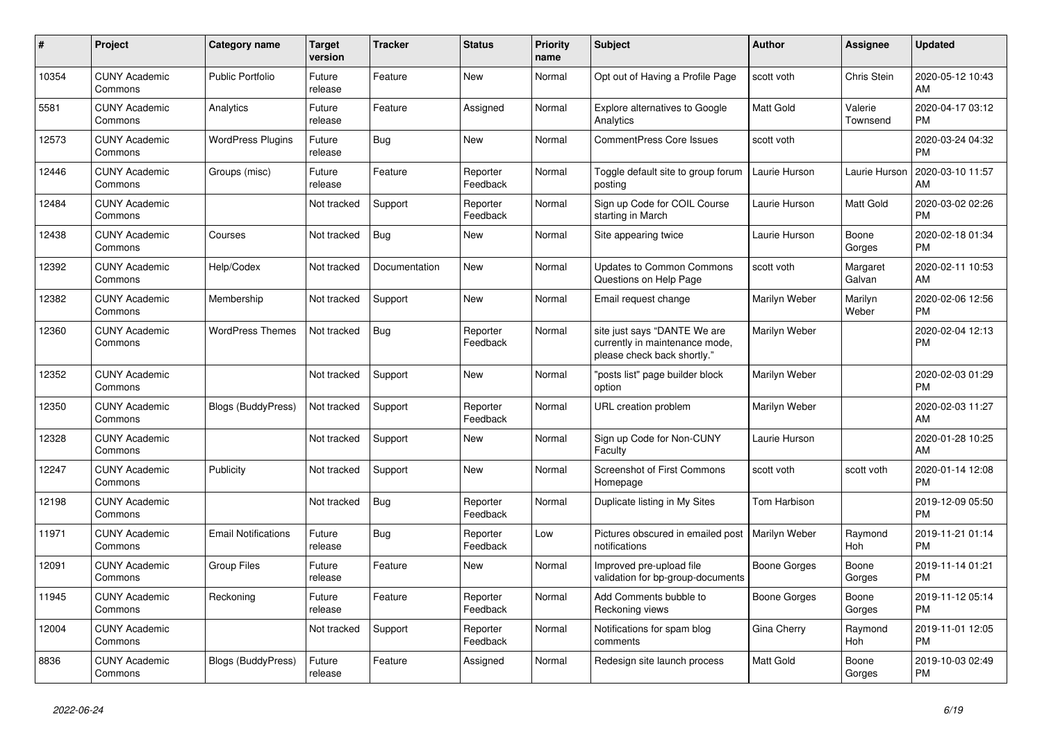| #     | <b>Project</b>                  | <b>Category name</b>       | Target<br>version | Tracker       | <b>Status</b>        | <b>Priority</b><br>name | <b>Subject</b>                                                                                | <b>Author</b>       | <b>Assignee</b>       | <b>Updated</b>                |
|-------|---------------------------------|----------------------------|-------------------|---------------|----------------------|-------------------------|-----------------------------------------------------------------------------------------------|---------------------|-----------------------|-------------------------------|
| 10354 | <b>CUNY Academic</b><br>Commons | <b>Public Portfolio</b>    | Future<br>release | Feature       | New                  | Normal                  | Opt out of Having a Profile Page                                                              | scott voth          | Chris Stein           | 2020-05-12 10:43<br>AM        |
| 5581  | <b>CUNY Academic</b><br>Commons | Analytics                  | Future<br>release | Feature       | Assigned             | Normal                  | <b>Explore alternatives to Google</b><br>Analytics                                            | <b>Matt Gold</b>    | Valerie<br>Townsend   | 2020-04-17 03:12<br><b>PM</b> |
| 12573 | <b>CUNY Academic</b><br>Commons | <b>WordPress Plugins</b>   | Future<br>release | Bug           | New                  | Normal                  | <b>CommentPress Core Issues</b>                                                               | scott voth          |                       | 2020-03-24 04:32<br><b>PM</b> |
| 12446 | <b>CUNY Academic</b><br>Commons | Groups (misc)              | Future<br>release | Feature       | Reporter<br>Feedback | Normal                  | Toggle default site to group forum<br>posting                                                 | Laurie Hurson       | Laurie Hurson         | 2020-03-10 11:57<br>AM        |
| 12484 | <b>CUNY Academic</b><br>Commons |                            | Not tracked       | Support       | Reporter<br>Feedback | Normal                  | Sign up Code for COIL Course<br>starting in March                                             | Laurie Hurson       | Matt Gold             | 2020-03-02 02:26<br><b>PM</b> |
| 12438 | <b>CUNY Academic</b><br>Commons | Courses                    | Not tracked       | Bug           | <b>New</b>           | Normal                  | Site appearing twice                                                                          | Laurie Hurson       | Boone<br>Gorges       | 2020-02-18 01:34<br><b>PM</b> |
| 12392 | <b>CUNY Academic</b><br>Commons | Help/Codex                 | Not tracked       | Documentation | <b>New</b>           | Normal                  | <b>Updates to Common Commons</b><br>Questions on Help Page                                    | scott voth          | Margaret<br>Galvan    | 2020-02-11 10:53<br>AM        |
| 12382 | <b>CUNY Academic</b><br>Commons | Membership                 | Not tracked       | Support       | <b>New</b>           | Normal                  | Email request change                                                                          | Marilyn Weber       | Marilyn<br>Weber      | 2020-02-06 12:56<br><b>PM</b> |
| 12360 | <b>CUNY Academic</b><br>Commons | <b>WordPress Themes</b>    | Not tracked       | Bug           | Reporter<br>Feedback | Normal                  | site just says "DANTE We are<br>currently in maintenance mode,<br>please check back shortly." | Marilyn Weber       |                       | 2020-02-04 12:13<br><b>PM</b> |
| 12352 | <b>CUNY Academic</b><br>Commons |                            | Not tracked       | Support       | <b>New</b>           | Normal                  | "posts list" page builder block<br>option                                                     | Marilyn Weber       |                       | 2020-02-03 01:29<br><b>PM</b> |
| 12350 | <b>CUNY Academic</b><br>Commons | <b>Blogs (BuddyPress)</b>  | Not tracked       | Support       | Reporter<br>Feedback | Normal                  | URL creation problem                                                                          | Marilyn Weber       |                       | 2020-02-03 11:27<br>AM        |
| 12328 | <b>CUNY Academic</b><br>Commons |                            | Not tracked       | Support       | <b>New</b>           | Normal                  | Sign up Code for Non-CUNY<br>Faculty                                                          | Laurie Hurson       |                       | 2020-01-28 10:25<br>AM        |
| 12247 | <b>CUNY Academic</b><br>Commons | Publicity                  | Not tracked       | Support       | <b>New</b>           | Normal                  | <b>Screenshot of First Commons</b><br>Homepage                                                | scott voth          | scott voth            | 2020-01-14 12:08<br><b>PM</b> |
| 12198 | <b>CUNY Academic</b><br>Commons |                            | Not tracked       | Bug           | Reporter<br>Feedback | Normal                  | Duplicate listing in My Sites                                                                 | Tom Harbison        |                       | 2019-12-09 05:50<br><b>PM</b> |
| 11971 | <b>CUNY Academic</b><br>Commons | <b>Email Notifications</b> | Future<br>release | <b>Bug</b>    | Reporter<br>Feedback | Low                     | Pictures obscured in emailed post   Marilyn Weber<br>notifications                            |                     | Raymond<br>Hoh        | 2019-11-21 01:14<br><b>PM</b> |
| 12091 | <b>CUNY Academic</b><br>Commons | <b>Group Files</b>         | Future<br>release | Feature       | <b>New</b>           | Normal                  | Improved pre-upload file<br>validation for bp-group-documents                                 | Boone Gorges        | Boone<br>Gorges       | 2019-11-14 01:21<br><b>PM</b> |
| 11945 | <b>CUNY Academic</b><br>Commons | Reckoning                  | Future<br>release | Feature       | Reporter<br>Feedback | Normal                  | Add Comments bubble to<br>Reckoning views                                                     | <b>Boone Gorges</b> | Boone<br>Gorges       | 2019-11-12 05:14<br><b>PM</b> |
| 12004 | <b>CUNY Academic</b><br>Commons |                            | Not tracked       | Support       | Reporter<br>Feedback | Normal                  | Notifications for spam blog<br>comments                                                       | Gina Cherry         | Raymond<br><b>Hoh</b> | 2019-11-01 12:05<br><b>PM</b> |
| 8836  | <b>CUNY Academic</b><br>Commons | <b>Blogs (BuddyPress)</b>  | Future<br>release | Feature       | Assigned             | Normal                  | Redesign site launch process                                                                  | Matt Gold           | Boone<br>Gorges       | 2019-10-03 02:49<br><b>PM</b> |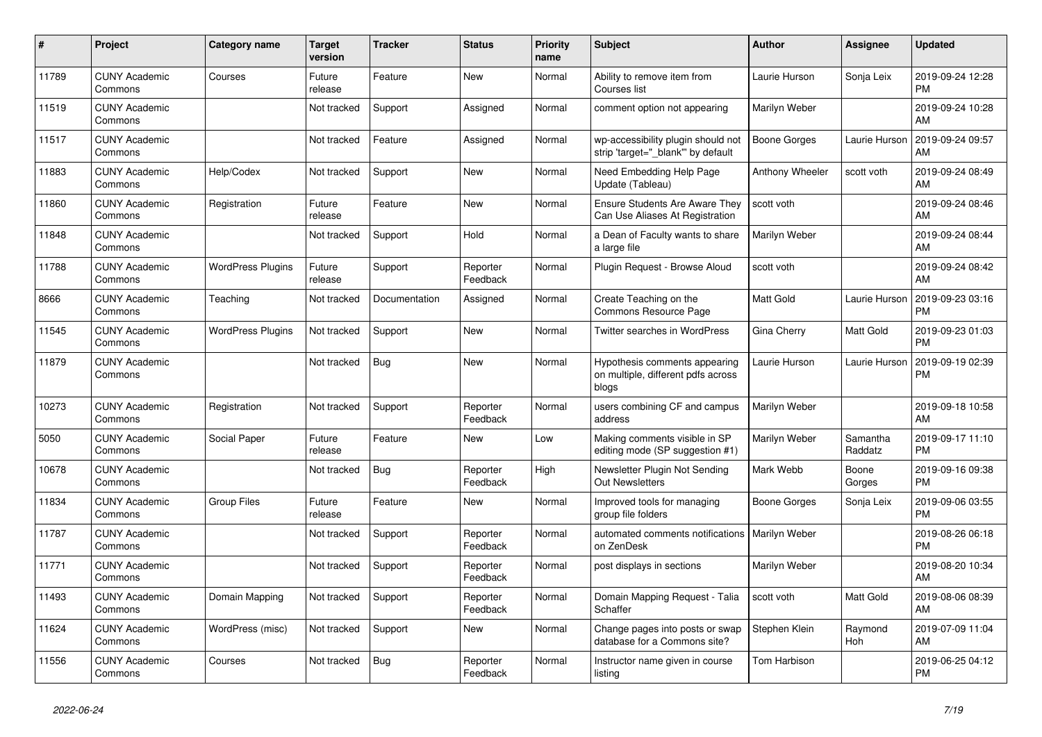| #     | <b>Project</b>                  | <b>Category name</b>     | Target<br>version | Tracker       | <b>Status</b>        | <b>Priority</b><br>name | <b>Subject</b>                                                               | <b>Author</b>       | <b>Assignee</b>     | <b>Updated</b>                |
|-------|---------------------------------|--------------------------|-------------------|---------------|----------------------|-------------------------|------------------------------------------------------------------------------|---------------------|---------------------|-------------------------------|
| 11789 | <b>CUNY Academic</b><br>Commons | Courses                  | Future<br>release | Feature       | New                  | Normal                  | Ability to remove item from<br>Courses list                                  | Laurie Hurson       | Sonja Leix          | 2019-09-24 12:28<br><b>PM</b> |
| 11519 | <b>CUNY Academic</b><br>Commons |                          | Not tracked       | Support       | Assigned             | Normal                  | comment option not appearing                                                 | Marilyn Weber       |                     | 2019-09-24 10:28<br>AM        |
| 11517 | <b>CUNY Academic</b><br>Commons |                          | Not tracked       | Feature       | Assigned             | Normal                  | wp-accessibility plugin should not<br>strip 'target=" blank" by default      | <b>Boone Gorges</b> | Laurie Hurson       | 2019-09-24 09:57<br>AM        |
| 11883 | <b>CUNY Academic</b><br>Commons | Help/Codex               | Not tracked       | Support       | <b>New</b>           | Normal                  | Need Embedding Help Page<br>Update (Tableau)                                 | Anthony Wheeler     | scott voth          | 2019-09-24 08:49<br>AM        |
| 11860 | <b>CUNY Academic</b><br>Commons | Registration             | Future<br>release | Feature       | <b>New</b>           | Normal                  | <b>Ensure Students Are Aware They</b><br>Can Use Aliases At Registration     | scott voth          |                     | 2019-09-24 08:46<br>AM        |
| 11848 | <b>CUNY Academic</b><br>Commons |                          | Not tracked       | Support       | Hold                 | Normal                  | a Dean of Faculty wants to share<br>a large file                             | Marilyn Weber       |                     | 2019-09-24 08:44<br>AM        |
| 11788 | <b>CUNY Academic</b><br>Commons | <b>WordPress Plugins</b> | Future<br>release | Support       | Reporter<br>Feedback | Normal                  | Plugin Request - Browse Aloud                                                | scott voth          |                     | 2019-09-24 08:42<br>AM        |
| 8666  | <b>CUNY Academic</b><br>Commons | Teaching                 | Not tracked       | Documentation | Assigned             | Normal                  | Create Teaching on the<br>Commons Resource Page                              | Matt Gold           | Laurie Hurson       | 2019-09-23 03:16<br><b>PM</b> |
| 11545 | <b>CUNY Academic</b><br>Commons | <b>WordPress Plugins</b> | Not tracked       | Support       | <b>New</b>           | Normal                  | Twitter searches in WordPress                                                | Gina Cherry         | Matt Gold           | 2019-09-23 01:03<br><b>PM</b> |
| 11879 | <b>CUNY Academic</b><br>Commons |                          | Not tracked       | Bug           | New                  | Normal                  | Hypothesis comments appearing<br>on multiple, different pdfs across<br>blogs | Laurie Hurson       | Laurie Hurson       | 2019-09-19 02:39<br><b>PM</b> |
| 10273 | <b>CUNY Academic</b><br>Commons | Registration             | Not tracked       | Support       | Reporter<br>Feedback | Normal                  | users combining CF and campus<br>address                                     | Marilyn Weber       |                     | 2019-09-18 10:58<br>AM        |
| 5050  | <b>CUNY Academic</b><br>Commons | Social Paper             | Future<br>release | Feature       | New                  | Low                     | Making comments visible in SP<br>editing mode (SP suggestion #1)             | Marilyn Weber       | Samantha<br>Raddatz | 2019-09-17 11:10<br><b>PM</b> |
| 10678 | <b>CUNY Academic</b><br>Commons |                          | Not tracked       | <b>Bug</b>    | Reporter<br>Feedback | High                    | Newsletter Plugin Not Sending<br><b>Out Newsletters</b>                      | Mark Webb           | Boone<br>Gorges     | 2019-09-16 09:38<br><b>PM</b> |
| 11834 | <b>CUNY Academic</b><br>Commons | <b>Group Files</b>       | Future<br>release | Feature       | <b>New</b>           | Normal                  | Improved tools for managing<br>group file folders                            | Boone Gorges        | Sonja Leix          | 2019-09-06 03:55<br><b>PM</b> |
| 11787 | <b>CUNY Academic</b><br>Commons |                          | Not tracked       | Support       | Reporter<br>Feedback | Normal                  | automated comments notifications   Marilyn Weber<br>on ZenDesk               |                     |                     | 2019-08-26 06:18<br><b>PM</b> |
| 11771 | <b>CUNY Academic</b><br>Commons |                          | Not tracked       | Support       | Reporter<br>Feedback | Normal                  | post displays in sections                                                    | Marilyn Weber       |                     | 2019-08-20 10:34<br>AM        |
| 11493 | <b>CUNY Academic</b><br>Commons | Domain Mapping           | Not tracked       | Support       | Reporter<br>Feedback | Normal                  | Domain Mapping Request - Talia<br>Schaffer                                   | scott voth          | <b>Matt Gold</b>    | 2019-08-06 08:39<br>AM        |
| 11624 | <b>CUNY Academic</b><br>Commons | WordPress (misc)         | Not tracked       | Support       | New                  | Normal                  | Change pages into posts or swap<br>database for a Commons site?              | Stephen Klein       | Raymond<br>Hoh      | 2019-07-09 11:04<br>AM        |
| 11556 | <b>CUNY Academic</b><br>Commons | Courses                  | Not tracked       | Bug           | Reporter<br>Feedback | Normal                  | Instructor name given in course<br>listing                                   | Tom Harbison        |                     | 2019-06-25 04:12<br><b>PM</b> |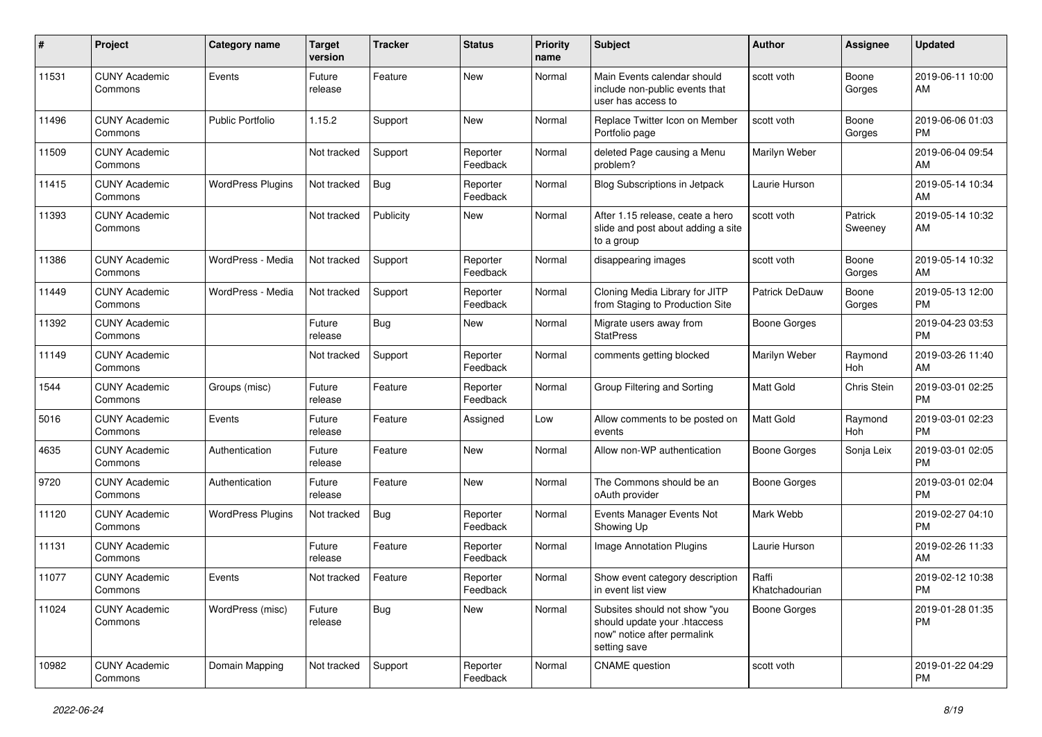| #     | Project                         | <b>Category name</b>     | <b>Target</b><br>version | <b>Tracker</b> | <b>Status</b>        | <b>Priority</b><br>name | <b>Subject</b>                                                                                               | <b>Author</b>           | <b>Assignee</b>    | <b>Updated</b>                |
|-------|---------------------------------|--------------------------|--------------------------|----------------|----------------------|-------------------------|--------------------------------------------------------------------------------------------------------------|-------------------------|--------------------|-------------------------------|
| 11531 | <b>CUNY Academic</b><br>Commons | Events                   | Future<br>release        | Feature        | New                  | Normal                  | Main Events calendar should<br>include non-public events that<br>user has access to                          | scott voth              | Boone<br>Gorges    | 2019-06-11 10:00<br>AM        |
| 11496 | <b>CUNY Academic</b><br>Commons | <b>Public Portfolio</b>  | 1.15.2                   | Support        | <b>New</b>           | Normal                  | Replace Twitter Icon on Member<br>Portfolio page                                                             | scott voth              | Boone<br>Gorges    | 2019-06-06 01:03<br><b>PM</b> |
| 11509 | <b>CUNY Academic</b><br>Commons |                          | Not tracked              | Support        | Reporter<br>Feedback | Normal                  | deleted Page causing a Menu<br>problem?                                                                      | Marilyn Weber           |                    | 2019-06-04 09:54<br>AM        |
| 11415 | <b>CUNY Academic</b><br>Commons | <b>WordPress Plugins</b> | Not tracked              | <b>Bug</b>     | Reporter<br>Feedback | Normal                  | <b>Blog Subscriptions in Jetpack</b>                                                                         | Laurie Hurson           |                    | 2019-05-14 10:34<br>AM        |
| 11393 | <b>CUNY Academic</b><br>Commons |                          | Not tracked              | Publicity      | New                  | Normal                  | After 1.15 release, ceate a hero<br>slide and post about adding a site<br>to a group                         | scott voth              | Patrick<br>Sweeney | 2019-05-14 10:32<br>AM        |
| 11386 | <b>CUNY Academic</b><br>Commons | WordPress - Media        | Not tracked              | Support        | Reporter<br>Feedback | Normal                  | disappearing images                                                                                          | scott voth              | Boone<br>Gorges    | 2019-05-14 10:32<br>AM        |
| 11449 | <b>CUNY Academic</b><br>Commons | WordPress - Media        | Not tracked              | Support        | Reporter<br>Feedback | Normal                  | Cloning Media Library for JITP<br>from Staging to Production Site                                            | <b>Patrick DeDauw</b>   | Boone<br>Gorges    | 2019-05-13 12:00<br><b>PM</b> |
| 11392 | <b>CUNY Academic</b><br>Commons |                          | Future<br>release        | <b>Bug</b>     | New                  | Normal                  | Migrate users away from<br><b>StatPress</b>                                                                  | <b>Boone Gorges</b>     |                    | 2019-04-23 03:53<br><b>PM</b> |
| 11149 | <b>CUNY Academic</b><br>Commons |                          | Not tracked              | Support        | Reporter<br>Feedback | Normal                  | comments getting blocked                                                                                     | Marilyn Weber           | Raymond<br>Hoh     | 2019-03-26 11:40<br>AM        |
| 1544  | <b>CUNY Academic</b><br>Commons | Groups (misc)            | Future<br>release        | Feature        | Reporter<br>Feedback | Normal                  | Group Filtering and Sorting                                                                                  | Matt Gold               | Chris Stein        | 2019-03-01 02:25<br><b>PM</b> |
| 5016  | <b>CUNY Academic</b><br>Commons | Events                   | Future<br>release        | Feature        | Assigned             | Low                     | Allow comments to be posted on<br>events                                                                     | Matt Gold               | Raymond<br>Hoh     | 2019-03-01 02:23<br><b>PM</b> |
| 4635  | <b>CUNY Academic</b><br>Commons | Authentication           | Future<br>release        | Feature        | New                  | Normal                  | Allow non-WP authentication                                                                                  | <b>Boone Gorges</b>     | Sonja Leix         | 2019-03-01 02:05<br><b>PM</b> |
| 9720  | <b>CUNY Academic</b><br>Commons | Authentication           | Future<br>release        | Feature        | <b>New</b>           | Normal                  | The Commons should be an<br>oAuth provider                                                                   | Boone Gorges            |                    | 2019-03-01 02:04<br><b>PM</b> |
| 11120 | <b>CUNY Academic</b><br>Commons | <b>WordPress Plugins</b> | Not tracked              | <b>Bug</b>     | Reporter<br>Feedback | Normal                  | Events Manager Events Not<br>Showing Up                                                                      | Mark Webb               |                    | 2019-02-27 04:10<br><b>PM</b> |
| 11131 | <b>CUNY Academic</b><br>Commons |                          | Future<br>release        | Feature        | Reporter<br>Feedback | Normal                  | Image Annotation Plugins                                                                                     | Laurie Hurson           |                    | 2019-02-26 11:33<br>AM        |
| 11077 | <b>CUNY Academic</b><br>Commons | Events                   | Not tracked              | Feature        | Reporter<br>Feedback | Normal                  | Show event category description<br>in event list view                                                        | Raffi<br>Khatchadourian |                    | 2019-02-12 10:38<br>PM        |
| 11024 | <b>CUNY Academic</b><br>Commons | WordPress (misc)         | Future<br>release        | Bug            | New                  | Normal                  | Subsites should not show "you<br>should update your .htaccess<br>now" notice after permalink<br>setting save | <b>Boone Gorges</b>     |                    | 2019-01-28 01:35<br><b>PM</b> |
| 10982 | <b>CUNY Academic</b><br>Commons | Domain Mapping           | Not tracked              | Support        | Reporter<br>Feedback | Normal                  | <b>CNAME</b> question                                                                                        | scott voth              |                    | 2019-01-22 04:29<br>PM        |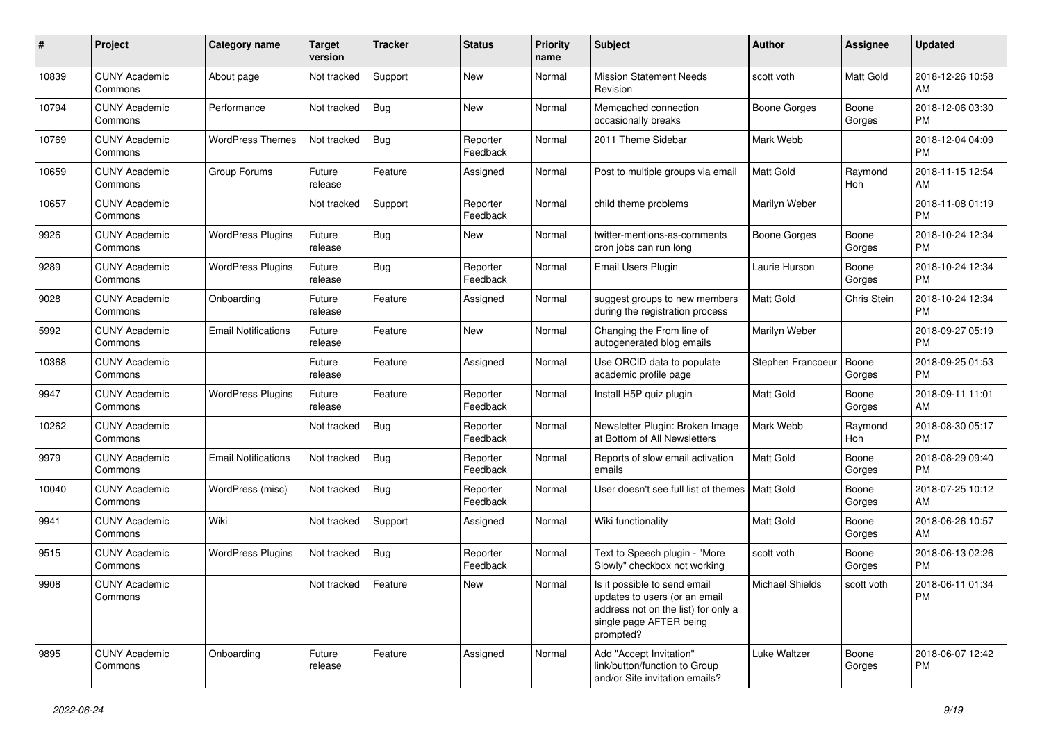| #     | Project                         | <b>Category name</b>       | <b>Target</b><br>version | <b>Tracker</b> | <b>Status</b>        | <b>Priority</b><br>name | <b>Subject</b>                                                                                                                               | Author                 | <b>Assignee</b> | <b>Updated</b>                |
|-------|---------------------------------|----------------------------|--------------------------|----------------|----------------------|-------------------------|----------------------------------------------------------------------------------------------------------------------------------------------|------------------------|-----------------|-------------------------------|
| 10839 | <b>CUNY Academic</b><br>Commons | About page                 | Not tracked              | Support        | <b>New</b>           | Normal                  | <b>Mission Statement Needs</b><br>Revision                                                                                                   | scott voth             | Matt Gold       | 2018-12-26 10:58<br>AM        |
| 10794 | <b>CUNY Academic</b><br>Commons | Performance                | Not tracked              | <b>Bug</b>     | <b>New</b>           | Normal                  | Memcached connection<br>occasionally breaks                                                                                                  | <b>Boone Gorges</b>    | Boone<br>Gorges | 2018-12-06 03:30<br><b>PM</b> |
| 10769 | <b>CUNY Academic</b><br>Commons | <b>WordPress Themes</b>    | Not tracked              | Bug            | Reporter<br>Feedback | Normal                  | 2011 Theme Sidebar                                                                                                                           | Mark Webb              |                 | 2018-12-04 04:09<br><b>PM</b> |
| 10659 | <b>CUNY Academic</b><br>Commons | Group Forums               | Future<br>release        | Feature        | Assigned             | Normal                  | Post to multiple groups via email                                                                                                            | <b>Matt Gold</b>       | Raymond<br>Hoh  | 2018-11-15 12:54<br>AM        |
| 10657 | <b>CUNY Academic</b><br>Commons |                            | Not tracked              | Support        | Reporter<br>Feedback | Normal                  | child theme problems                                                                                                                         | Marilyn Weber          |                 | 2018-11-08 01:19<br><b>PM</b> |
| 9926  | <b>CUNY Academic</b><br>Commons | <b>WordPress Plugins</b>   | Future<br>release        | <b>Bug</b>     | New                  | Normal                  | twitter-mentions-as-comments<br>cron jobs can run long                                                                                       | <b>Boone Gorges</b>    | Boone<br>Gorges | 2018-10-24 12:34<br><b>PM</b> |
| 9289  | <b>CUNY Academic</b><br>Commons | <b>WordPress Plugins</b>   | Future<br>release        | Bug            | Reporter<br>Feedback | Normal                  | Email Users Plugin                                                                                                                           | Laurie Hurson          | Boone<br>Gorges | 2018-10-24 12:34<br><b>PM</b> |
| 9028  | <b>CUNY Academic</b><br>Commons | Onboarding                 | Future<br>release        | Feature        | Assigned             | Normal                  | suggest groups to new members<br>during the registration process                                                                             | Matt Gold              | Chris Stein     | 2018-10-24 12:34<br><b>PM</b> |
| 5992  | <b>CUNY Academic</b><br>Commons | <b>Email Notifications</b> | Future<br>release        | Feature        | New                  | Normal                  | Changing the From line of<br>autogenerated blog emails                                                                                       | Marilyn Weber          |                 | 2018-09-27 05:19<br><b>PM</b> |
| 10368 | <b>CUNY Academic</b><br>Commons |                            | Future<br>release        | Feature        | Assigned             | Normal                  | Use ORCID data to populate<br>academic profile page                                                                                          | Stephen Francoeur      | Boone<br>Gorges | 2018-09-25 01:53<br><b>PM</b> |
| 9947  | <b>CUNY Academic</b><br>Commons | <b>WordPress Plugins</b>   | Future<br>release        | Feature        | Reporter<br>Feedback | Normal                  | Install H5P quiz plugin                                                                                                                      | <b>Matt Gold</b>       | Boone<br>Gorges | 2018-09-11 11:01<br>AM        |
| 10262 | <b>CUNY Academic</b><br>Commons |                            | Not tracked              | <b>Bug</b>     | Reporter<br>Feedback | Normal                  | Newsletter Plugin: Broken Image<br>at Bottom of All Newsletters                                                                              | Mark Webb              | Raymond<br>Hoh  | 2018-08-30 05:17<br><b>PM</b> |
| 9979  | <b>CUNY Academic</b><br>Commons | <b>Email Notifications</b> | Not tracked              | <b>Bug</b>     | Reporter<br>Feedback | Normal                  | Reports of slow email activation<br>emails                                                                                                   | Matt Gold              | Boone<br>Gorges | 2018-08-29 09:40<br><b>PM</b> |
| 10040 | <b>CUNY Academic</b><br>Commons | WordPress (misc)           | Not tracked              | <b>Bug</b>     | Reporter<br>Feedback | Normal                  | User doesn't see full list of themes                                                                                                         | <b>Matt Gold</b>       | Boone<br>Gorges | 2018-07-25 10:12<br>AM        |
| 9941  | <b>CUNY Academic</b><br>Commons | Wiki                       | Not tracked              | Support        | Assigned             | Normal                  | Wiki functionality                                                                                                                           | <b>Matt Gold</b>       | Boone<br>Gorges | 2018-06-26 10:57<br>AM        |
| 9515  | <b>CUNY Academic</b><br>Commons | <b>WordPress Plugins</b>   | Not tracked              | <b>Bug</b>     | Reporter<br>Feedback | Normal                  | Text to Speech plugin - "More<br>Slowly" checkbox not working                                                                                | scott voth             | Boone<br>Gorges | 2018-06-13 02:26<br><b>PM</b> |
| 9908  | <b>CUNY Academic</b><br>Commons |                            | Not tracked              | Feature        | New                  | Normal                  | Is it possible to send email<br>updates to users (or an email<br>address not on the list) for only a<br>single page AFTER being<br>prompted? | <b>Michael Shields</b> | scott voth      | 2018-06-11 01:34<br>PM        |
| 9895  | <b>CUNY Academic</b><br>Commons | Onboarding                 | Future<br>release        | Feature        | Assigned             | Normal                  | Add "Accept Invitation"<br>link/button/function to Group<br>and/or Site invitation emails?                                                   | Luke Waltzer           | Boone<br>Gorges | 2018-06-07 12:42<br><b>PM</b> |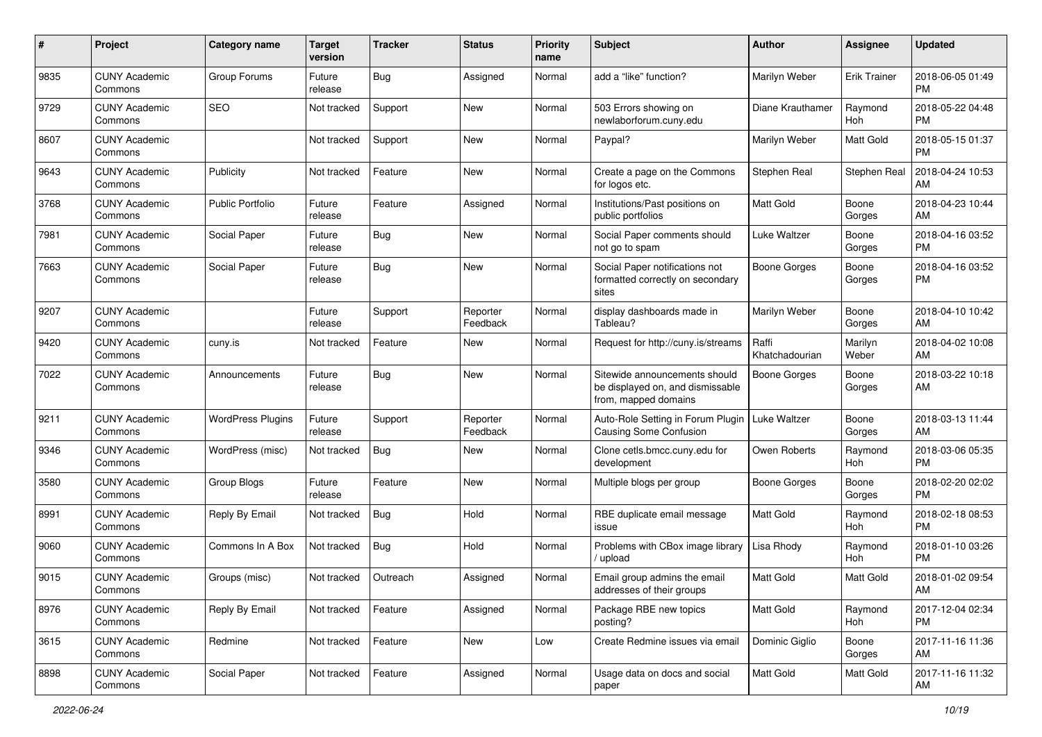| #    | Project                         | <b>Category name</b>     | <b>Target</b><br>version | <b>Tracker</b> | <b>Status</b>        | <b>Priority</b><br>name | <b>Subject</b>                                                                            | Author                  | Assignee            | <b>Updated</b>                |
|------|---------------------------------|--------------------------|--------------------------|----------------|----------------------|-------------------------|-------------------------------------------------------------------------------------------|-------------------------|---------------------|-------------------------------|
| 9835 | <b>CUNY Academic</b><br>Commons | Group Forums             | Future<br>release        | <b>Bug</b>     | Assigned             | Normal                  | add a "like" function?                                                                    | Marilyn Weber           | <b>Erik Trainer</b> | 2018-06-05 01:49<br><b>PM</b> |
| 9729 | <b>CUNY Academic</b><br>Commons | <b>SEO</b>               | Not tracked              | Support        | <b>New</b>           | Normal                  | 503 Errors showing on<br>newlaborforum.cuny.edu                                           | Diane Krauthamer        | Raymond<br>Hoh      | 2018-05-22 04:48<br><b>PM</b> |
| 8607 | <b>CUNY Academic</b><br>Commons |                          | Not tracked              | Support        | <b>New</b>           | Normal                  | Paypal?                                                                                   | Marilyn Weber           | Matt Gold           | 2018-05-15 01:37<br><b>PM</b> |
| 9643 | <b>CUNY Academic</b><br>Commons | Publicity                | Not tracked              | Feature        | New                  | Normal                  | Create a page on the Commons<br>for logos etc.                                            | Stephen Real            | Stephen Real        | 2018-04-24 10:53<br>AM        |
| 3768 | <b>CUNY Academic</b><br>Commons | <b>Public Portfolio</b>  | Future<br>release        | Feature        | Assigned             | Normal                  | Institutions/Past positions on<br>public portfolios                                       | <b>Matt Gold</b>        | Boone<br>Gorges     | 2018-04-23 10:44<br>AM        |
| 7981 | <b>CUNY Academic</b><br>Commons | Social Paper             | Future<br>release        | <b>Bug</b>     | <b>New</b>           | Normal                  | Social Paper comments should<br>not go to spam                                            | Luke Waltzer            | Boone<br>Gorges     | 2018-04-16 03:52<br>PM        |
| 7663 | <b>CUNY Academic</b><br>Commons | Social Paper             | Future<br>release        | <b>Bug</b>     | New                  | Normal                  | Social Paper notifications not<br>formatted correctly on secondary<br>sites               | <b>Boone Gorges</b>     | Boone<br>Gorges     | 2018-04-16 03:52<br><b>PM</b> |
| 9207 | <b>CUNY Academic</b><br>Commons |                          | Future<br>release        | Support        | Reporter<br>Feedback | Normal                  | display dashboards made in<br>Tableau?                                                    | Marilyn Weber           | Boone<br>Gorges     | 2018-04-10 10:42<br>AM        |
| 9420 | <b>CUNY Academic</b><br>Commons | cuny.is                  | Not tracked              | Feature        | <b>New</b>           | Normal                  | Request for http://cuny.is/streams                                                        | Raffi<br>Khatchadourian | Marilyn<br>Weber    | 2018-04-02 10:08<br>AM        |
| 7022 | <b>CUNY Academic</b><br>Commons | Announcements            | Future<br>release        | <b>Bug</b>     | <b>New</b>           | Normal                  | Sitewide announcements should<br>be displayed on, and dismissable<br>from, mapped domains | <b>Boone Gorges</b>     | Boone<br>Gorges     | 2018-03-22 10:18<br>AM        |
| 9211 | <b>CUNY Academic</b><br>Commons | <b>WordPress Plugins</b> | Future<br>release        | Support        | Reporter<br>Feedback | Normal                  | Auto-Role Setting in Forum Plugin<br><b>Causing Some Confusion</b>                        | Luke Waltzer            | Boone<br>Gorges     | 2018-03-13 11:44<br>AM        |
| 9346 | <b>CUNY Academic</b><br>Commons | WordPress (misc)         | Not tracked              | Bug            | <b>New</b>           | Normal                  | Clone cetls.bmcc.cuny.edu for<br>development                                              | Owen Roberts            | Raymond<br>Hoh      | 2018-03-06 05:35<br><b>PM</b> |
| 3580 | <b>CUNY Academic</b><br>Commons | Group Blogs              | Future<br>release        | Feature        | New                  | Normal                  | Multiple blogs per group                                                                  | Boone Gorges            | Boone<br>Gorges     | 2018-02-20 02:02<br><b>PM</b> |
| 8991 | <b>CUNY Academic</b><br>Commons | Reply By Email           | Not tracked              | Bug            | Hold                 | Normal                  | RBE duplicate email message<br>issue                                                      | <b>Matt Gold</b>        | Raymond<br>Hoh      | 2018-02-18 08:53<br><b>PM</b> |
| 9060 | <b>CUNY Academic</b><br>Commons | Commons In A Box         | Not tracked              | Bug            | Hold                 | Normal                  | Problems with CBox image library<br>upload                                                | Lisa Rhody              | Raymond<br>Hoh      | 2018-01-10 03:26<br><b>PM</b> |
| 9015 | <b>CUNY Academic</b><br>Commons | Groups (misc)            | Not tracked              | Outreach       | Assigned             | Normal                  | Email group admins the email<br>addresses of their groups                                 | Matt Gold               | <b>Matt Gold</b>    | 2018-01-02 09:54<br>AM        |
| 8976 | <b>CUNY Academic</b><br>Commons | Reply By Email           | Not tracked              | Feature        | Assigned             | Normal                  | Package RBE new topics<br>posting?                                                        | Matt Gold               | Raymond<br>Hoh      | 2017-12-04 02:34<br><b>PM</b> |
| 3615 | <b>CUNY Academic</b><br>Commons | Redmine                  | Not tracked              | Feature        | New                  | Low                     | Create Redmine issues via email                                                           | Dominic Giglio          | Boone<br>Gorges     | 2017-11-16 11:36<br>AM        |
| 8898 | <b>CUNY Academic</b><br>Commons | Social Paper             | Not tracked              | Feature        | Assigned             | Normal                  | Usage data on docs and social<br>paper                                                    | Matt Gold               | Matt Gold           | 2017-11-16 11:32<br>AM        |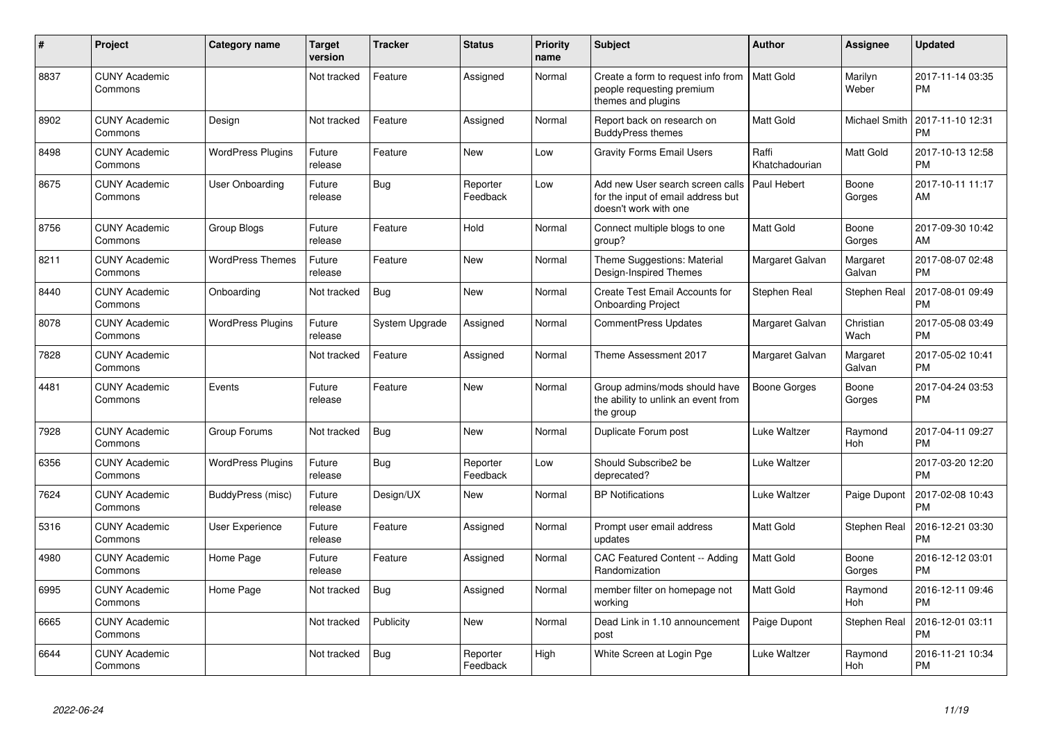| #    | Project                         | <b>Category name</b>     | <b>Target</b><br>version | Tracker        | <b>Status</b>        | <b>Priority</b><br>name | <b>Subject</b>                                                                                    | <b>Author</b>           | <b>Assignee</b>    | <b>Updated</b>                |
|------|---------------------------------|--------------------------|--------------------------|----------------|----------------------|-------------------------|---------------------------------------------------------------------------------------------------|-------------------------|--------------------|-------------------------------|
| 8837 | <b>CUNY Academic</b><br>Commons |                          | Not tracked              | Feature        | Assigned             | Normal                  | Create a form to request info from   Matt Gold<br>people requesting premium<br>themes and plugins |                         | Marilyn<br>Weber   | 2017-11-14 03:35<br><b>PM</b> |
| 8902 | <b>CUNY Academic</b><br>Commons | Design                   | Not tracked              | Feature        | Assigned             | Normal                  | Report back on research on<br><b>BuddyPress themes</b>                                            | Matt Gold               | Michael Smith      | 2017-11-10 12:31<br><b>PM</b> |
| 8498 | <b>CUNY Academic</b><br>Commons | <b>WordPress Plugins</b> | Future<br>release        | Feature        | New                  | Low                     | <b>Gravity Forms Email Users</b>                                                                  | Raffi<br>Khatchadourian | Matt Gold          | 2017-10-13 12:58<br><b>PM</b> |
| 8675 | <b>CUNY Academic</b><br>Commons | <b>User Onboarding</b>   | Future<br>release        | <b>Bug</b>     | Reporter<br>Feedback | Low                     | Add new User search screen calls<br>for the input of email address but<br>doesn't work with one   | Paul Hebert             | Boone<br>Gorges    | 2017-10-11 11:17<br>AM        |
| 8756 | <b>CUNY Academic</b><br>Commons | Group Blogs              | Future<br>release        | Feature        | Hold                 | Normal                  | Connect multiple blogs to one<br>group?                                                           | Matt Gold               | Boone<br>Gorges    | 2017-09-30 10:42<br>AM        |
| 8211 | <b>CUNY Academic</b><br>Commons | <b>WordPress Themes</b>  | Future<br>release        | Feature        | New                  | Normal                  | Theme Suggestions: Material<br>Design-Inspired Themes                                             | Margaret Galvan         | Margaret<br>Galvan | 2017-08-07 02:48<br><b>PM</b> |
| 8440 | <b>CUNY Academic</b><br>Commons | Onboarding               | Not tracked              | <b>Bug</b>     | New                  | Normal                  | Create Test Email Accounts for<br><b>Onboarding Project</b>                                       | Stephen Real            | Stephen Real       | 2017-08-01 09:49<br><b>PM</b> |
| 8078 | <b>CUNY Academic</b><br>Commons | <b>WordPress Plugins</b> | Future<br>release        | System Upgrade | Assigned             | Normal                  | <b>CommentPress Updates</b>                                                                       | Margaret Galvan         | Christian<br>Wach  | 2017-05-08 03:49<br><b>PM</b> |
| 7828 | <b>CUNY Academic</b><br>Commons |                          | Not tracked              | Feature        | Assigned             | Normal                  | Theme Assessment 2017                                                                             | Margaret Galvan         | Margaret<br>Galvan | 2017-05-02 10:41<br><b>PM</b> |
| 4481 | <b>CUNY Academic</b><br>Commons | Events                   | Future<br>release        | Feature        | <b>New</b>           | Normal                  | Group admins/mods should have<br>the ability to unlink an event from<br>the group                 | Boone Gorges            | Boone<br>Gorges    | 2017-04-24 03:53<br><b>PM</b> |
| 7928 | <b>CUNY Academic</b><br>Commons | Group Forums             | Not tracked              | Bug            | New                  | Normal                  | Duplicate Forum post                                                                              | Luke Waltzer            | Raymond<br>Hoh     | 2017-04-11 09:27<br><b>PM</b> |
| 6356 | <b>CUNY Academic</b><br>Commons | <b>WordPress Plugins</b> | Future<br>release        | Bug            | Reporter<br>Feedback | Low                     | Should Subscribe2 be<br>deprecated?                                                               | Luke Waltzer            |                    | 2017-03-20 12:20<br><b>PM</b> |
| 7624 | <b>CUNY Academic</b><br>Commons | BuddyPress (misc)        | Future<br>release        | Design/UX      | <b>New</b>           | Normal                  | <b>BP</b> Notifications                                                                           | Luke Waltzer            | Paige Dupont       | 2017-02-08 10:43<br><b>PM</b> |
| 5316 | <b>CUNY Academic</b><br>Commons | <b>User Experience</b>   | Future<br>release        | Feature        | Assigned             | Normal                  | Prompt user email address<br>updates                                                              | Matt Gold               | Stephen Real       | 2016-12-21 03:30<br><b>PM</b> |
| 4980 | <b>CUNY Academic</b><br>Commons | Home Page                | Future<br>release        | Feature        | Assigned             | Normal                  | CAC Featured Content -- Adding<br>Randomization                                                   | Matt Gold               | Boone<br>Gorges    | 2016-12-12 03:01<br><b>PM</b> |
| 6995 | <b>CUNY Academic</b><br>Commons | Home Page                | Not tracked              | <b>Bug</b>     | Assigned             | Normal                  | member filter on homepage not<br>working                                                          | Matt Gold               | Raymond<br>Hoh     | 2016-12-11 09:46<br><b>PM</b> |
| 6665 | <b>CUNY Academic</b><br>Commons |                          | Not tracked              | Publicity      | New                  | Normal                  | Dead Link in 1.10 announcement<br>post                                                            | Paige Dupont            | Stephen Real       | 2016-12-01 03:11<br>PM        |
| 6644 | <b>CUNY Academic</b><br>Commons |                          | Not tracked              | Bug            | Reporter<br>Feedback | High                    | White Screen at Login Pge                                                                         | Luke Waltzer            | Raymond<br>Hoh     | 2016-11-21 10:34<br>PM        |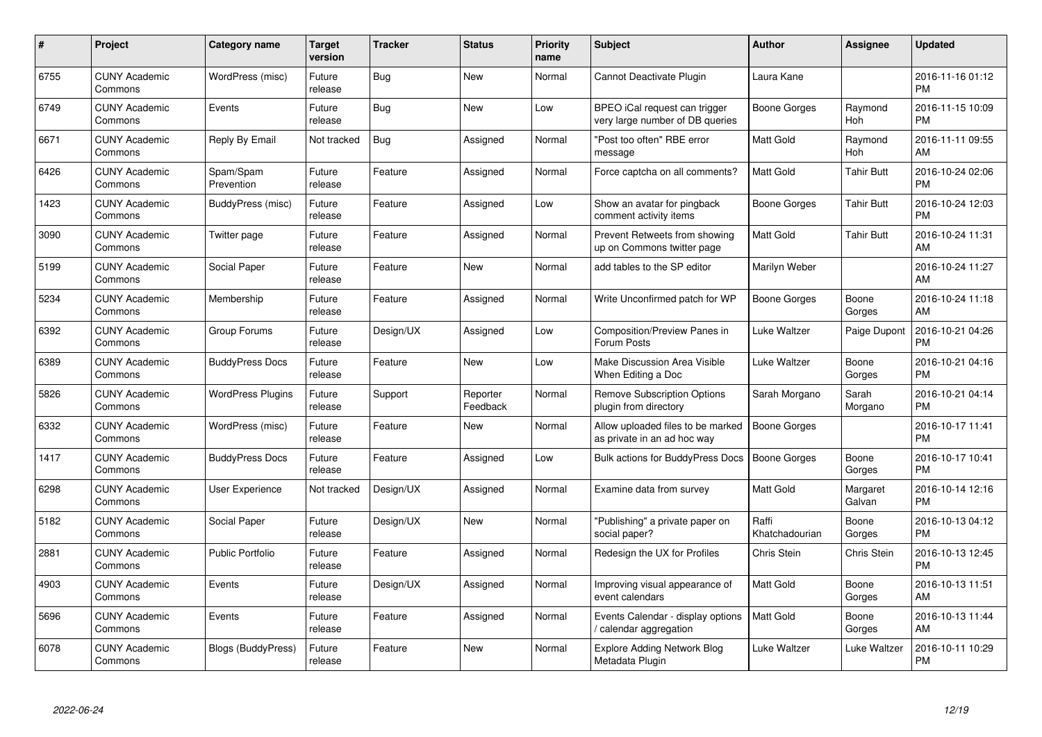| #    | Project                         | Category name             | Target<br>version | <b>Tracker</b> | <b>Status</b>        | <b>Priority</b><br>name | <b>Subject</b>                                                   | <b>Author</b>           | <b>Assignee</b>    | <b>Updated</b>                |
|------|---------------------------------|---------------------------|-------------------|----------------|----------------------|-------------------------|------------------------------------------------------------------|-------------------------|--------------------|-------------------------------|
| 6755 | <b>CUNY Academic</b><br>Commons | WordPress (misc)          | Future<br>release | Bug            | <b>New</b>           | Normal                  | Cannot Deactivate Plugin                                         | Laura Kane              |                    | 2016-11-16 01:12<br><b>PM</b> |
| 6749 | <b>CUNY Academic</b><br>Commons | Events                    | Future<br>release | Bug            | <b>New</b>           | Low                     | BPEO iCal request can trigger<br>very large number of DB queries | Boone Gorges            | Raymond<br>Hoh     | 2016-11-15 10:09<br><b>PM</b> |
| 6671 | <b>CUNY Academic</b><br>Commons | Reply By Email            | Not tracked       | <b>Bug</b>     | Assigned             | Normal                  | "Post too often" RBE error<br>message                            | Matt Gold               | Raymond<br>Hoh     | 2016-11-11 09:55<br>AM        |
| 6426 | <b>CUNY Academic</b><br>Commons | Spam/Spam<br>Prevention   | Future<br>release | Feature        | Assigned             | Normal                  | Force captcha on all comments?                                   | Matt Gold               | Tahir Butt         | 2016-10-24 02:06<br><b>PM</b> |
| 1423 | <b>CUNY Academic</b><br>Commons | BuddyPress (misc)         | Future<br>release | Feature        | Assigned             | Low                     | Show an avatar for pingback<br>comment activity items            | Boone Gorges            | Tahir Butt         | 2016-10-24 12:03<br><b>PM</b> |
| 3090 | <b>CUNY Academic</b><br>Commons | Twitter page              | Future<br>release | Feature        | Assigned             | Normal                  | Prevent Retweets from showing<br>up on Commons twitter page      | <b>Matt Gold</b>        | Tahir Butt         | 2016-10-24 11:31<br>AM        |
| 5199 | <b>CUNY Academic</b><br>Commons | Social Paper              | Future<br>release | Feature        | <b>New</b>           | Normal                  | add tables to the SP editor                                      | Marilyn Weber           |                    | 2016-10-24 11:27<br>AM        |
| 5234 | <b>CUNY Academic</b><br>Commons | Membership                | Future<br>release | Feature        | Assigned             | Normal                  | Write Unconfirmed patch for WP                                   | Boone Gorges            | Boone<br>Gorges    | 2016-10-24 11:18<br>AM        |
| 6392 | <b>CUNY Academic</b><br>Commons | Group Forums              | Future<br>release | Design/UX      | Assigned             | Low                     | Composition/Preview Panes in<br>Forum Posts                      | Luke Waltzer            | Paige Dupont       | 2016-10-21 04:26<br><b>PM</b> |
| 6389 | <b>CUNY Academic</b><br>Commons | <b>BuddyPress Docs</b>    | Future<br>release | Feature        | <b>New</b>           | Low                     | Make Discussion Area Visible<br>When Editing a Doc               | Luke Waltzer            | Boone<br>Gorges    | 2016-10-21 04:16<br>PM        |
| 5826 | <b>CUNY Academic</b><br>Commons | <b>WordPress Plugins</b>  | Future<br>release | Support        | Reporter<br>Feedback | Normal                  | <b>Remove Subscription Options</b><br>plugin from directory      | Sarah Morgano           | Sarah<br>Morgano   | 2016-10-21 04:14<br><b>PM</b> |
| 6332 | <b>CUNY Academic</b><br>Commons | WordPress (misc)          | Future<br>release | Feature        | <b>New</b>           | Normal                  | Allow uploaded files to be marked<br>as private in an ad hoc way | Boone Gorges            |                    | 2016-10-17 11:41<br><b>PM</b> |
| 1417 | <b>CUNY Academic</b><br>Commons | <b>BuddyPress Docs</b>    | Future<br>release | Feature        | Assigned             | Low                     | <b>Bulk actions for BuddyPress Docs</b>                          | <b>Boone Gorges</b>     | Boone<br>Gorges    | 2016-10-17 10:41<br>PM        |
| 6298 | <b>CUNY Academic</b><br>Commons | <b>User Experience</b>    | Not tracked       | Design/UX      | Assigned             | Normal                  | Examine data from survey                                         | <b>Matt Gold</b>        | Margaret<br>Galvan | 2016-10-14 12:16<br><b>PM</b> |
| 5182 | <b>CUNY Academic</b><br>Commons | Social Paper              | Future<br>release | Design/UX      | <b>New</b>           | Normal                  | "Publishing" a private paper on<br>social paper?                 | Raffi<br>Khatchadourian | Boone<br>Gorges    | 2016-10-13 04:12<br><b>PM</b> |
| 2881 | <b>CUNY Academic</b><br>Commons | <b>Public Portfolio</b>   | Future<br>release | Feature        | Assigned             | Normal                  | Redesign the UX for Profiles                                     | Chris Stein             | Chris Stein        | 2016-10-13 12:45<br><b>PM</b> |
| 4903 | <b>CUNY Academic</b><br>Commons | Events                    | Future<br>release | Design/UX      | Assigned             | Normal                  | Improving visual appearance of<br>event calendars                | <b>Matt Gold</b>        | Boone<br>Gorges    | 2016-10-13 11:51<br>AM        |
| 5696 | <b>CUNY Academic</b><br>Commons | Events                    | Future<br>release | Feature        | Assigned             | Normal                  | Events Calendar - display options<br>calendar aggregation /      | Matt Gold               | Boone<br>Gorges    | 2016-10-13 11:44<br>AM        |
| 6078 | <b>CUNY Academic</b><br>Commons | <b>Blogs (BuddyPress)</b> | Future<br>release | Feature        | <b>New</b>           | Normal                  | <b>Explore Adding Network Blog</b><br>Metadata Plugin            | Luke Waltzer            | Luke Waltzer       | 2016-10-11 10:29<br><b>PM</b> |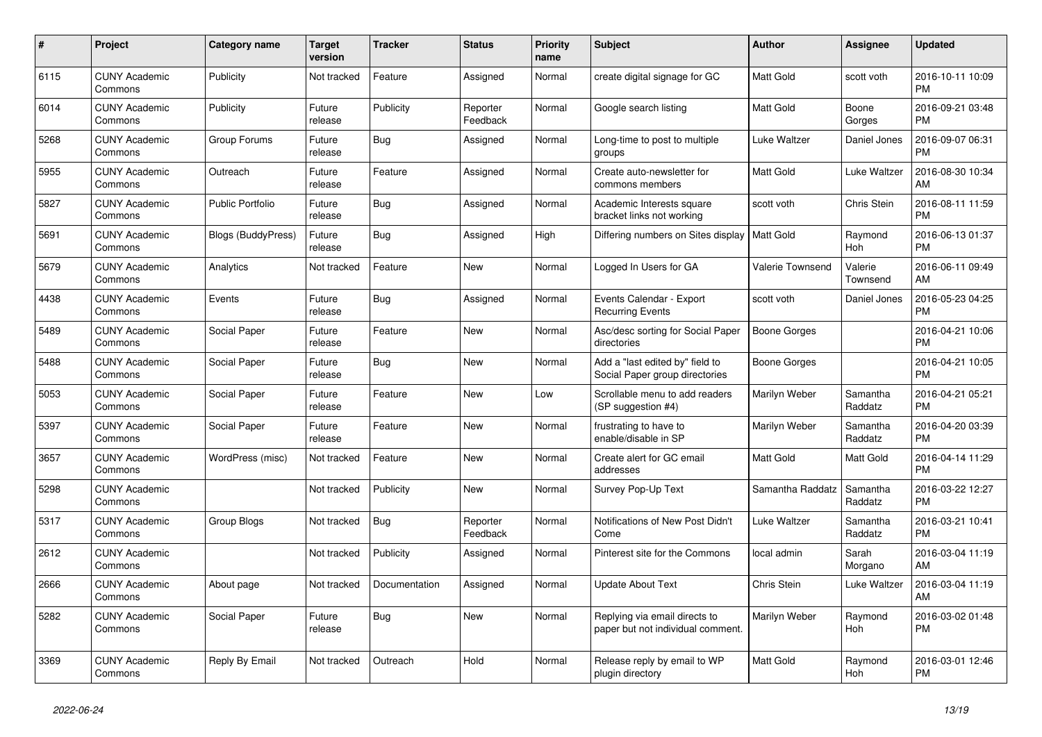| $\pmb{\#}$ | <b>Project</b>                  | Category name           | <b>Target</b><br>version | <b>Tracker</b> | <b>Status</b>        | <b>Priority</b><br>name | <b>Subject</b>                                                     | <b>Author</b>       | <b>Assignee</b>     | <b>Updated</b>                |
|------------|---------------------------------|-------------------------|--------------------------|----------------|----------------------|-------------------------|--------------------------------------------------------------------|---------------------|---------------------|-------------------------------|
| 6115       | <b>CUNY Academic</b><br>Commons | Publicity               | Not tracked              | Feature        | Assigned             | Normal                  | create digital signage for GC                                      | <b>Matt Gold</b>    | scott voth          | 2016-10-11 10:09<br><b>PM</b> |
| 6014       | <b>CUNY Academic</b><br>Commons | Publicity               | Future<br>release        | Publicity      | Reporter<br>Feedback | Normal                  | Google search listing                                              | <b>Matt Gold</b>    | Boone<br>Gorges     | 2016-09-21 03:48<br><b>PM</b> |
| 5268       | <b>CUNY Academic</b><br>Commons | Group Forums            | Future<br>release        | Bug            | Assigned             | Normal                  | Long-time to post to multiple<br>groups                            | Luke Waltzer        | Daniel Jones        | 2016-09-07 06:31<br><b>PM</b> |
| 5955       | <b>CUNY Academic</b><br>Commons | Outreach                | Future<br>release        | Feature        | Assigned             | Normal                  | Create auto-newsletter for<br>commons members                      | Matt Gold           | Luke Waltzer        | 2016-08-30 10:34<br>AM        |
| 5827       | <b>CUNY Academic</b><br>Commons | <b>Public Portfolio</b> | Future<br>release        | Bug            | Assigned             | Normal                  | Academic Interests square<br>bracket links not working             | scott voth          | Chris Stein         | 2016-08-11 11:59<br><b>PM</b> |
| 5691       | <b>CUNY Academic</b><br>Commons | Blogs (BuddyPress)      | Future<br>release        | <b>Bug</b>     | Assigned             | High                    | Differing numbers on Sites display   Matt Gold                     |                     | Raymond<br>Hoh      | 2016-06-13 01:37<br><b>PM</b> |
| 5679       | <b>CUNY Academic</b><br>Commons | Analytics               | Not tracked              | Feature        | <b>New</b>           | Normal                  | Logged In Users for GA                                             | Valerie Townsend    | Valerie<br>Townsend | 2016-06-11 09:49<br>AM        |
| 4438       | <b>CUNY Academic</b><br>Commons | Events                  | Future<br>release        | <b>Bug</b>     | Assigned             | Normal                  | Events Calendar - Export<br><b>Recurring Events</b>                | scott voth          | Daniel Jones        | 2016-05-23 04:25<br><b>PM</b> |
| 5489       | <b>CUNY Academic</b><br>Commons | Social Paper            | Future<br>release        | Feature        | New                  | Normal                  | Asc/desc sorting for Social Paper<br>directories                   | <b>Boone Gorges</b> |                     | 2016-04-21 10:06<br><b>PM</b> |
| 5488       | <b>CUNY Academic</b><br>Commons | Social Paper            | Future<br>release        | <b>Bug</b>     | <b>New</b>           | Normal                  | Add a "last edited by" field to<br>Social Paper group directories  | Boone Gorges        |                     | 2016-04-21 10:05<br><b>PM</b> |
| 5053       | <b>CUNY Academic</b><br>Commons | Social Paper            | Future<br>release        | Feature        | <b>New</b>           | Low                     | Scrollable menu to add readers<br>(SP suggestion #4)               | Marilyn Weber       | Samantha<br>Raddatz | 2016-04-21 05:21<br><b>PM</b> |
| 5397       | <b>CUNY Academic</b><br>Commons | Social Paper            | Future<br>release        | Feature        | New                  | Normal                  | frustrating to have to<br>enable/disable in SP                     | Marilyn Weber       | Samantha<br>Raddatz | 2016-04-20 03:39<br><b>PM</b> |
| 3657       | <b>CUNY Academic</b><br>Commons | WordPress (misc)        | Not tracked              | Feature        | <b>New</b>           | Normal                  | Create alert for GC email<br>addresses                             | <b>Matt Gold</b>    | Matt Gold           | 2016-04-14 11:29<br><b>PM</b> |
| 5298       | <b>CUNY Academic</b><br>Commons |                         | Not tracked              | Publicity      | <b>New</b>           | Normal                  | Survey Pop-Up Text                                                 | Samantha Raddatz    | Samantha<br>Raddatz | 2016-03-22 12:27<br><b>PM</b> |
| 5317       | <b>CUNY Academic</b><br>Commons | Group Blogs             | Not tracked              | <b>Bug</b>     | Reporter<br>Feedback | Normal                  | Notifications of New Post Didn't<br>Come                           | Luke Waltzer        | Samantha<br>Raddatz | 2016-03-21 10:41<br><b>PM</b> |
| 2612       | <b>CUNY Academic</b><br>Commons |                         | Not tracked              | Publicity      | Assigned             | Normal                  | Pinterest site for the Commons                                     | local admin         | Sarah<br>Morgano    | 2016-03-04 11:19<br>AM        |
| 2666       | <b>CUNY Academic</b><br>Commons | About page              | Not tracked              | Documentation  | Assigned             | Normal                  | <b>Update About Text</b>                                           | Chris Stein         | Luke Waltzer        | 2016-03-04 11:19<br>AM        |
| 5282       | <b>CUNY Academic</b><br>Commons | Social Paper            | Future<br>release        | <b>Bug</b>     | <b>New</b>           | Normal                  | Replying via email directs to<br>paper but not individual comment. | Marilyn Weber       | Raymond<br>Hoh      | 2016-03-02 01:48<br><b>PM</b> |
| 3369       | <b>CUNY Academic</b><br>Commons | Reply By Email          | Not tracked              | Outreach       | Hold                 | Normal                  | Release reply by email to WP<br>plugin directory                   | <b>Matt Gold</b>    | Raymond<br>Hoh      | 2016-03-01 12:46<br><b>PM</b> |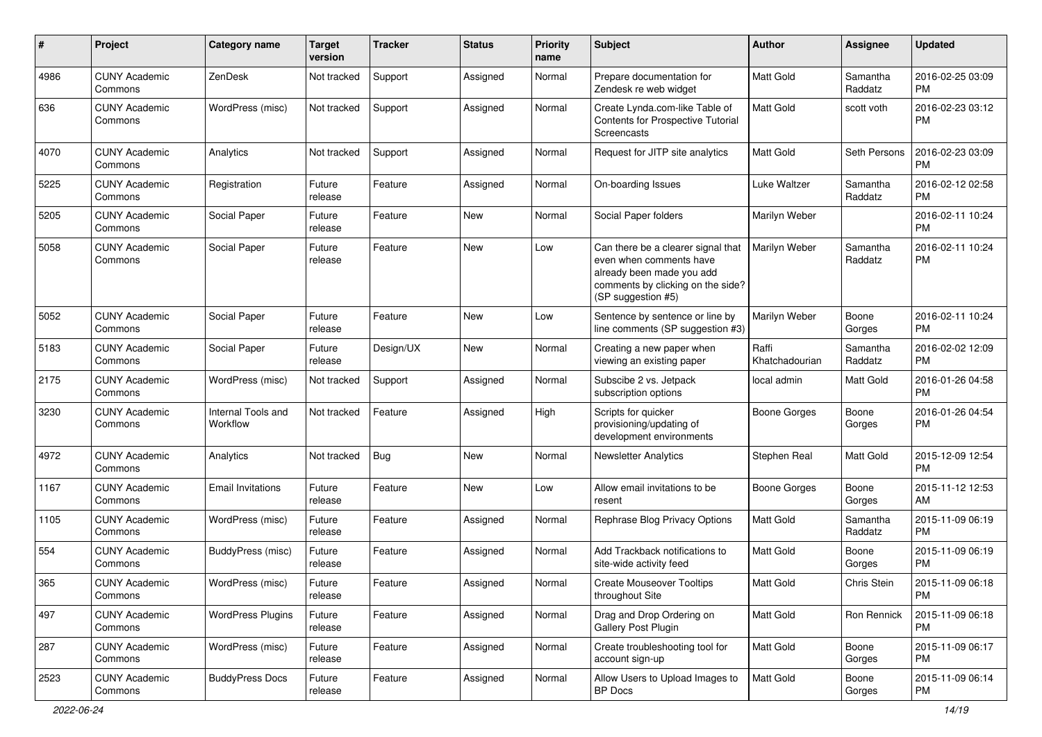| #    | Project                         | <b>Category name</b>           | <b>Target</b><br>version | <b>Tracker</b> | <b>Status</b> | <b>Priority</b><br>name | Subject                                                                                                                                               | Author                  | Assignee            | <b>Updated</b>                |
|------|---------------------------------|--------------------------------|--------------------------|----------------|---------------|-------------------------|-------------------------------------------------------------------------------------------------------------------------------------------------------|-------------------------|---------------------|-------------------------------|
| 4986 | <b>CUNY Academic</b><br>Commons | ZenDesk                        | Not tracked              | Support        | Assigned      | Normal                  | Prepare documentation for<br>Zendesk re web widget                                                                                                    | <b>Matt Gold</b>        | Samantha<br>Raddatz | 2016-02-25 03:09<br><b>PM</b> |
| 636  | <b>CUNY Academic</b><br>Commons | WordPress (misc)               | Not tracked              | Support        | Assigned      | Normal                  | Create Lynda.com-like Table of<br><b>Contents for Prospective Tutorial</b><br>Screencasts                                                             | <b>Matt Gold</b>        | scott voth          | 2016-02-23 03:12<br><b>PM</b> |
| 4070 | <b>CUNY Academic</b><br>Commons | Analytics                      | Not tracked              | Support        | Assigned      | Normal                  | Request for JITP site analytics                                                                                                                       | Matt Gold               | Seth Persons        | 2016-02-23 03:09<br><b>PM</b> |
| 5225 | <b>CUNY Academic</b><br>Commons | Registration                   | Future<br>release        | Feature        | Assigned      | Normal                  | On-boarding Issues                                                                                                                                    | Luke Waltzer            | Samantha<br>Raddatz | 2016-02-12 02:58<br><b>PM</b> |
| 5205 | <b>CUNY Academic</b><br>Commons | Social Paper                   | Future<br>release        | Feature        | New           | Normal                  | Social Paper folders                                                                                                                                  | Marilyn Weber           |                     | 2016-02-11 10:24<br><b>PM</b> |
| 5058 | <b>CUNY Academic</b><br>Commons | Social Paper                   | Future<br>release        | Feature        | <b>New</b>    | Low                     | Can there be a clearer signal that<br>even when comments have<br>already been made you add<br>comments by clicking on the side?<br>(SP suggestion #5) | Marilyn Weber           | Samantha<br>Raddatz | 2016-02-11 10:24<br><b>PM</b> |
| 5052 | <b>CUNY Academic</b><br>Commons | Social Paper                   | Future<br>release        | Feature        | <b>New</b>    | Low                     | Sentence by sentence or line by<br>line comments (SP suggestion #3)                                                                                   | Marilyn Weber           | Boone<br>Gorges     | 2016-02-11 10:24<br><b>PM</b> |
| 5183 | <b>CUNY Academic</b><br>Commons | Social Paper                   | Future<br>release        | Design/UX      | New           | Normal                  | Creating a new paper when<br>viewing an existing paper                                                                                                | Raffi<br>Khatchadourian | Samantha<br>Raddatz | 2016-02-02 12:09<br><b>PM</b> |
| 2175 | <b>CUNY Academic</b><br>Commons | WordPress (misc)               | Not tracked              | Support        | Assigned      | Normal                  | Subscibe 2 vs. Jetpack<br>subscription options                                                                                                        | local admin             | <b>Matt Gold</b>    | 2016-01-26 04:58<br><b>PM</b> |
| 3230 | <b>CUNY Academic</b><br>Commons | Internal Tools and<br>Workflow | Not tracked              | Feature        | Assigned      | High                    | Scripts for quicker<br>provisioning/updating of<br>development environments                                                                           | <b>Boone Gorges</b>     | Boone<br>Gorges     | 2016-01-26 04:54<br><b>PM</b> |
| 4972 | <b>CUNY Academic</b><br>Commons | Analytics                      | Not tracked              | Bug            | <b>New</b>    | Normal                  | <b>Newsletter Analytics</b>                                                                                                                           | Stephen Real            | <b>Matt Gold</b>    | 2015-12-09 12:54<br><b>PM</b> |
| 1167 | <b>CUNY Academic</b><br>Commons | <b>Email Invitations</b>       | Future<br>release        | Feature        | <b>New</b>    | Low                     | Allow email invitations to be<br>resent                                                                                                               | <b>Boone Gorges</b>     | Boone<br>Gorges     | 2015-11-12 12:53<br>AM        |
| 1105 | <b>CUNY Academic</b><br>Commons | WordPress (misc)               | Future<br>release        | Feature        | Assigned      | Normal                  | Rephrase Blog Privacy Options                                                                                                                         | Matt Gold               | Samantha<br>Raddatz | 2015-11-09 06:19<br><b>PM</b> |
| 554  | <b>CUNY Academic</b><br>Commons | BuddyPress (misc)              | Future<br>release        | Feature        | Assigned      | Normal                  | Add Trackback notifications to<br>site-wide activity feed                                                                                             | <b>Matt Gold</b>        | Boone<br>Gorges     | 2015-11-09 06:19<br><b>PM</b> |
| 365  | <b>CUNY Academic</b><br>Commons | WordPress (misc)               | Future<br>release        | Feature        | Assigned      | Normal                  | <b>Create Mouseover Tooltips</b><br>throughout Site                                                                                                   | <b>Matt Gold</b>        | Chris Stein         | 2015-11-09 06:18<br>PM        |
| 497  | <b>CUNY Academic</b><br>Commons | <b>WordPress Plugins</b>       | Future<br>release        | Feature        | Assigned      | Normal                  | Drag and Drop Ordering on<br>Gallery Post Plugin                                                                                                      | Matt Gold               | Ron Rennick         | 2015-11-09 06:18<br>PM        |
| 287  | <b>CUNY Academic</b><br>Commons | WordPress (misc)               | Future<br>release        | Feature        | Assigned      | Normal                  | Create troubleshooting tool for<br>account sign-up                                                                                                    | Matt Gold               | Boone<br>Gorges     | 2015-11-09 06:17<br><b>PM</b> |
| 2523 | <b>CUNY Academic</b><br>Commons | <b>BuddyPress Docs</b>         | Future<br>release        | Feature        | Assigned      | Normal                  | Allow Users to Upload Images to<br><b>BP</b> Docs                                                                                                     | Matt Gold               | Boone<br>Gorges     | 2015-11-09 06:14<br>PM        |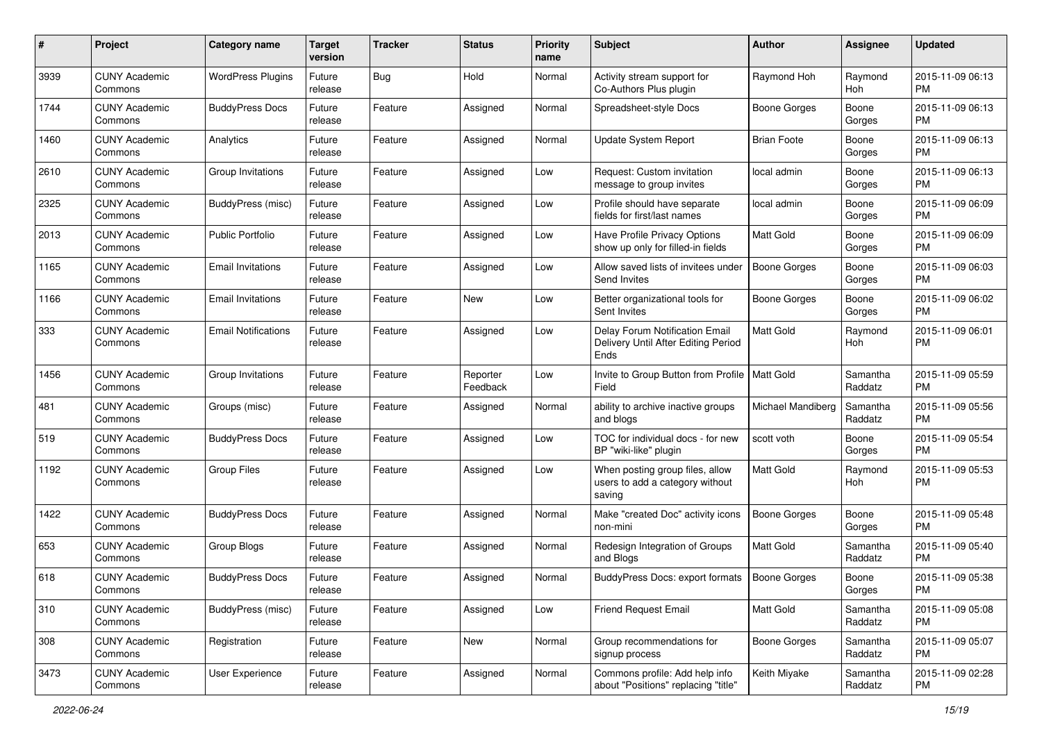| #    | Project                         | <b>Category name</b>       | <b>Target</b><br>version | <b>Tracker</b> | <b>Status</b>        | <b>Priority</b><br>name | Subject                                                                       | Author              | <b>Assignee</b>     | <b>Updated</b>                |
|------|---------------------------------|----------------------------|--------------------------|----------------|----------------------|-------------------------|-------------------------------------------------------------------------------|---------------------|---------------------|-------------------------------|
| 3939 | <b>CUNY Academic</b><br>Commons | <b>WordPress Plugins</b>   | Future<br>release        | Bug            | Hold                 | Normal                  | Activity stream support for<br>Co-Authors Plus plugin                         | Raymond Hoh         | Raymond<br>Hoh      | 2015-11-09 06:13<br>PM        |
| 1744 | <b>CUNY Academic</b><br>Commons | <b>BuddyPress Docs</b>     | Future<br>release        | Feature        | Assigned             | Normal                  | Spreadsheet-style Docs                                                        | <b>Boone Gorges</b> | Boone<br>Gorges     | 2015-11-09 06:13<br>PM        |
| 1460 | <b>CUNY Academic</b><br>Commons | Analytics                  | Future<br>release        | Feature        | Assigned             | Normal                  | Update System Report                                                          | <b>Brian Foote</b>  | Boone<br>Gorges     | 2015-11-09 06:13<br><b>PM</b> |
| 2610 | <b>CUNY Academic</b><br>Commons | Group Invitations          | Future<br>release        | Feature        | Assigned             | Low                     | Request: Custom invitation<br>message to group invites                        | local admin         | Boone<br>Gorges     | 2015-11-09 06:13<br>PM        |
| 2325 | <b>CUNY Academic</b><br>Commons | BuddyPress (misc)          | Future<br>release        | Feature        | Assigned             | Low                     | Profile should have separate<br>fields for first/last names                   | local admin         | Boone<br>Gorges     | 2015-11-09 06:09<br><b>PM</b> |
| 2013 | <b>CUNY Academic</b><br>Commons | <b>Public Portfolio</b>    | Future<br>release        | Feature        | Assigned             | Low                     | Have Profile Privacy Options<br>show up only for filled-in fields             | Matt Gold           | Boone<br>Gorges     | 2015-11-09 06:09<br><b>PM</b> |
| 1165 | <b>CUNY Academic</b><br>Commons | <b>Email Invitations</b>   | Future<br>release        | Feature        | Assigned             | Low                     | Allow saved lists of invitees under<br>Send Invites                           | <b>Boone Gorges</b> | Boone<br>Gorges     | 2015-11-09 06:03<br>PM        |
| 1166 | <b>CUNY Academic</b><br>Commons | <b>Email Invitations</b>   | Future<br>release        | Feature        | New                  | Low                     | Better organizational tools for<br>Sent Invites                               | Boone Gorges        | Boone<br>Gorges     | 2015-11-09 06:02<br><b>PM</b> |
| 333  | <b>CUNY Academic</b><br>Commons | <b>Email Notifications</b> | Future<br>release        | Feature        | Assigned             | Low                     | Delay Forum Notification Email<br>Delivery Until After Editing Period<br>Ends | Matt Gold           | Raymond<br>Hoh      | 2015-11-09 06:01<br><b>PM</b> |
| 1456 | <b>CUNY Academic</b><br>Commons | Group Invitations          | Future<br>release        | Feature        | Reporter<br>Feedback | Low                     | Invite to Group Button from Profile   Matt Gold<br>Field                      |                     | Samantha<br>Raddatz | 2015-11-09 05:59<br><b>PM</b> |
| 481  | <b>CUNY Academic</b><br>Commons | Groups (misc)              | Future<br>release        | Feature        | Assigned             | Normal                  | ability to archive inactive groups<br>and blogs                               | Michael Mandiberg   | Samantha<br>Raddatz | 2015-11-09 05:56<br><b>PM</b> |
| 519  | <b>CUNY Academic</b><br>Commons | <b>BuddyPress Docs</b>     | Future<br>release        | Feature        | Assigned             | Low                     | TOC for individual docs - for new<br>BP "wiki-like" plugin                    | scott voth          | Boone<br>Gorges     | 2015-11-09 05:54<br><b>PM</b> |
| 1192 | <b>CUNY Academic</b><br>Commons | <b>Group Files</b>         | Future<br>release        | Feature        | Assigned             | Low                     | When posting group files, allow<br>users to add a category without<br>saving  | <b>Matt Gold</b>    | Raymond<br>Hoh      | 2015-11-09 05:53<br><b>PM</b> |
| 1422 | <b>CUNY Academic</b><br>Commons | <b>BuddyPress Docs</b>     | Future<br>release        | Feature        | Assigned             | Normal                  | Make "created Doc" activity icons<br>non-mini                                 | <b>Boone Gorges</b> | Boone<br>Gorges     | 2015-11-09 05:48<br><b>PM</b> |
| 653  | <b>CUNY Academic</b><br>Commons | Group Blogs                | Future<br>release        | Feature        | Assigned             | Normal                  | Redesign Integration of Groups<br>and Blogs                                   | Matt Gold           | Samantha<br>Raddatz | 2015-11-09 05:40<br><b>PM</b> |
| 618  | <b>CUNY Academic</b><br>Commons | <b>BuddyPress Docs</b>     | Future<br>release        | Feature        | Assigned             | Normal                  | BuddyPress Docs: export formats                                               | <b>Boone Gorges</b> | Boone<br>Gorges     | 2015-11-09 05:38<br>PM        |
| 310  | <b>CUNY Academic</b><br>Commons | BuddyPress (misc)          | Future<br>release        | Feature        | Assigned             | Low                     | <b>Friend Request Email</b>                                                   | Matt Gold           | Samantha<br>Raddatz | 2015-11-09 05:08<br>PM        |
| 308  | <b>CUNY Academic</b><br>Commons | Registration               | Future<br>release        | Feature        | New                  | Normal                  | Group recommendations for<br>signup process                                   | Boone Gorges        | Samantha<br>Raddatz | 2015-11-09 05:07<br>PM        |
| 3473 | <b>CUNY Academic</b><br>Commons | User Experience            | Future<br>release        | Feature        | Assigned             | Normal                  | Commons profile: Add help info<br>about "Positions" replacing "title"         | Keith Miyake        | Samantha<br>Raddatz | 2015-11-09 02:28<br><b>PM</b> |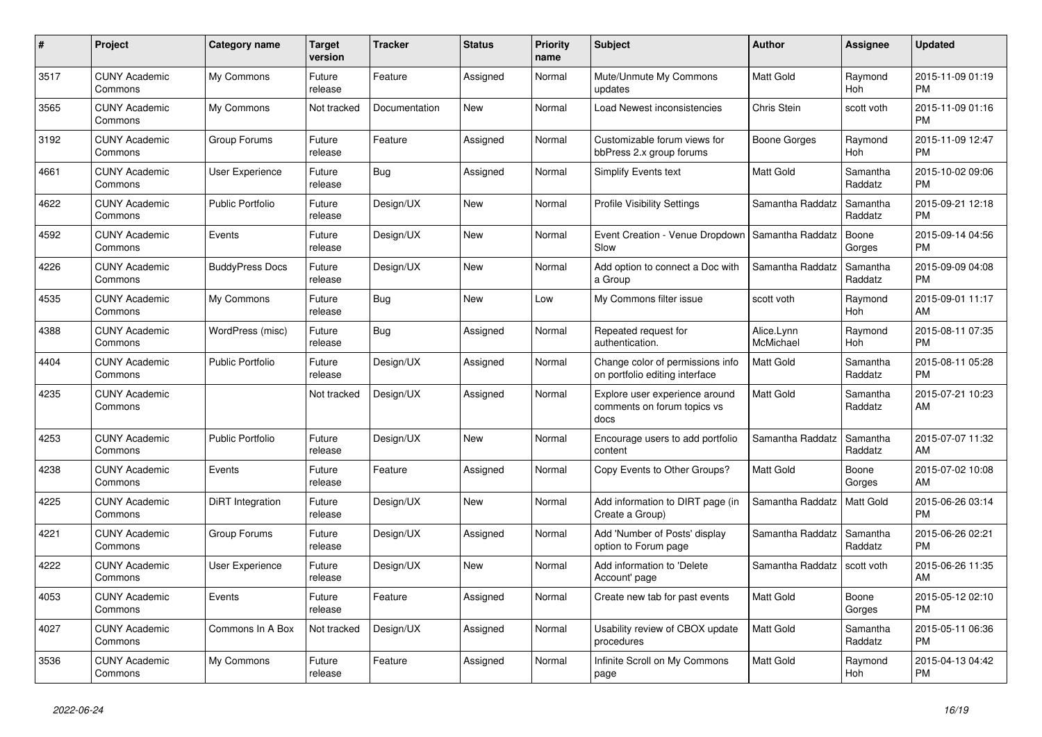| $\#$ | Project                         | <b>Category name</b>    | Target<br>version | <b>Tracker</b> | <b>Status</b> | <b>Priority</b><br>name | <b>Subject</b>                                                        | <b>Author</b>           | Assignee              | <b>Updated</b>                |
|------|---------------------------------|-------------------------|-------------------|----------------|---------------|-------------------------|-----------------------------------------------------------------------|-------------------------|-----------------------|-------------------------------|
| 3517 | <b>CUNY Academic</b><br>Commons | My Commons              | Future<br>release | Feature        | Assigned      | Normal                  | Mute/Unmute My Commons<br>updates                                     | <b>Matt Gold</b>        | Raymond<br>Hoh        | 2015-11-09 01:19<br><b>PM</b> |
| 3565 | <b>CUNY Academic</b><br>Commons | My Commons              | Not tracked       | Documentation  | New           | Normal                  | Load Newest inconsistencies                                           | <b>Chris Stein</b>      | scott voth            | 2015-11-09 01:16<br><b>PM</b> |
| 3192 | <b>CUNY Academic</b><br>Commons | Group Forums            | Future<br>release | Feature        | Assigned      | Normal                  | Customizable forum views for<br>bbPress 2.x group forums              | Boone Gorges            | Raymond<br><b>Hoh</b> | 2015-11-09 12:47<br><b>PM</b> |
| 4661 | <b>CUNY Academic</b><br>Commons | <b>User Experience</b>  | Future<br>release | Bug            | Assigned      | Normal                  | <b>Simplify Events text</b>                                           | <b>Matt Gold</b>        | Samantha<br>Raddatz   | 2015-10-02 09:06<br><b>PM</b> |
| 4622 | <b>CUNY Academic</b><br>Commons | <b>Public Portfolio</b> | Future<br>release | Design/UX      | <b>New</b>    | Normal                  | <b>Profile Visibility Settings</b>                                    | Samantha Raddatz        | Samantha<br>Raddatz   | 2015-09-21 12:18<br><b>PM</b> |
| 4592 | <b>CUNY Academic</b><br>Commons | Events                  | Future<br>release | Design/UX      | New           | Normal                  | Event Creation - Venue Dropdown<br>Slow                               | Samantha Raddatz        | Boone<br>Gorges       | 2015-09-14 04:56<br><b>PM</b> |
| 4226 | <b>CUNY Academic</b><br>Commons | <b>BuddyPress Docs</b>  | Future<br>release | Design/UX      | <b>New</b>    | Normal                  | Add option to connect a Doc with<br>a Group                           | Samantha Raddatz        | Samantha<br>Raddatz   | 2015-09-09 04:08<br><b>PM</b> |
| 4535 | <b>CUNY Academic</b><br>Commons | My Commons              | Future<br>release | Bug            | <b>New</b>    | Low                     | My Commons filter issue                                               | scott voth              | Raymond<br>Hoh        | 2015-09-01 11:17<br>AM        |
| 4388 | <b>CUNY Academic</b><br>Commons | WordPress (misc)        | Future<br>release | Bug            | Assigned      | Normal                  | Repeated request for<br>authentication.                               | Alice.Lynn<br>McMichael | Raymond<br>Hoh        | 2015-08-11 07:35<br><b>PM</b> |
| 4404 | <b>CUNY Academic</b><br>Commons | <b>Public Portfolio</b> | Future<br>release | Design/UX      | Assigned      | Normal                  | Change color of permissions info<br>on portfolio editing interface    | <b>Matt Gold</b>        | Samantha<br>Raddatz   | 2015-08-11 05:28<br><b>PM</b> |
| 4235 | <b>CUNY Academic</b><br>Commons |                         | Not tracked       | Design/UX      | Assigned      | Normal                  | Explore user experience around<br>comments on forum topics vs<br>docs | <b>Matt Gold</b>        | Samantha<br>Raddatz   | 2015-07-21 10:23<br>AM        |
| 4253 | <b>CUNY Academic</b><br>Commons | <b>Public Portfolio</b> | Future<br>release | Design/UX      | <b>New</b>    | Normal                  | Encourage users to add portfolio<br>content                           | Samantha Raddatz        | Samantha<br>Raddatz   | 2015-07-07 11:32<br>AM        |
| 4238 | <b>CUNY Academic</b><br>Commons | Events                  | Future<br>release | Feature        | Assigned      | Normal                  | Copy Events to Other Groups?                                          | Matt Gold               | Boone<br>Gorges       | 2015-07-02 10:08<br>AM        |
| 4225 | <b>CUNY Academic</b><br>Commons | DiRT Integration        | Future<br>release | Design/UX      | <b>New</b>    | Normal                  | Add information to DIRT page (in<br>Create a Group)                   | Samantha Raddatz        | <b>Matt Gold</b>      | 2015-06-26 03:14<br><b>PM</b> |
| 4221 | <b>CUNY Academic</b><br>Commons | Group Forums            | Future<br>release | Design/UX      | Assigned      | Normal                  | Add 'Number of Posts' display<br>option to Forum page                 | Samantha Raddatz        | Samantha<br>Raddatz   | 2015-06-26 02:21<br><b>PM</b> |
| 4222 | <b>CUNY Academic</b><br>Commons | User Experience         | Future<br>release | Design/UX      | <b>New</b>    | Normal                  | Add information to 'Delete<br>Account' page                           | Samantha Raddatz        | scott voth            | 2015-06-26 11:35<br>AM        |
| 4053 | <b>CUNY Academic</b><br>Commons | Events                  | Future<br>release | Feature        | Assigned      | Normal                  | Create new tab for past events                                        | <b>Matt Gold</b>        | Boone<br>Gorges       | 2015-05-12 02:10<br><b>PM</b> |
| 4027 | <b>CUNY Academic</b><br>Commons | Commons In A Box        | Not tracked       | Design/UX      | Assigned      | Normal                  | Usability review of CBOX update<br>procedures                         | Matt Gold               | Samantha<br>Raddatz   | 2015-05-11 06:36<br><b>PM</b> |
| 3536 | <b>CUNY Academic</b><br>Commons | My Commons              | Future<br>release | Feature        | Assigned      | Normal                  | Infinite Scroll on My Commons<br>page                                 | <b>Matt Gold</b>        | Raymond<br>Hoh        | 2015-04-13 04:42<br><b>PM</b> |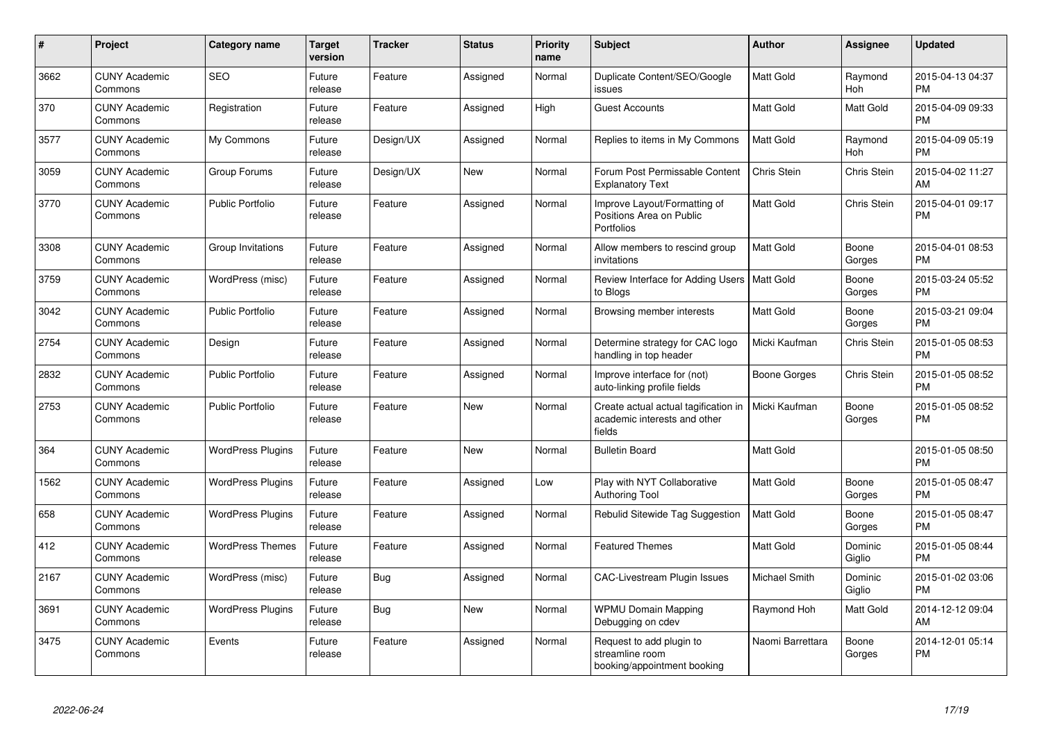| $\#$ | <b>Project</b>                  | Category name            | <b>Target</b><br>version | <b>Tracker</b> | <b>Status</b> | <b>Priority</b><br>name | <b>Subject</b>                                                                 | Author              | Assignee              | <b>Updated</b>                |
|------|---------------------------------|--------------------------|--------------------------|----------------|---------------|-------------------------|--------------------------------------------------------------------------------|---------------------|-----------------------|-------------------------------|
| 3662 | <b>CUNY Academic</b><br>Commons | <b>SEO</b>               | Future<br>release        | Feature        | Assigned      | Normal                  | Duplicate Content/SEO/Google<br>issues                                         | <b>Matt Gold</b>    | Raymond<br><b>Hoh</b> | 2015-04-13 04:37<br><b>PM</b> |
| 370  | <b>CUNY Academic</b><br>Commons | Registration             | Future<br>release        | Feature        | Assigned      | High                    | <b>Guest Accounts</b>                                                          | Matt Gold           | <b>Matt Gold</b>      | 2015-04-09 09:33<br><b>PM</b> |
| 3577 | <b>CUNY Academic</b><br>Commons | My Commons               | Future<br>release        | Design/UX      | Assigned      | Normal                  | Replies to items in My Commons                                                 | <b>Matt Gold</b>    | Raymond<br>Hoh        | 2015-04-09 05:19<br><b>PM</b> |
| 3059 | <b>CUNY Academic</b><br>Commons | Group Forums             | Future<br>release        | Design/UX      | <b>New</b>    | Normal                  | Forum Post Permissable Content<br><b>Explanatory Text</b>                      | Chris Stein         | Chris Stein           | 2015-04-02 11:27<br>AM        |
| 3770 | <b>CUNY Academic</b><br>Commons | <b>Public Portfolio</b>  | Future<br>release        | Feature        | Assigned      | Normal                  | Improve Layout/Formatting of<br>Positions Area on Public<br>Portfolios         | Matt Gold           | Chris Stein           | 2015-04-01 09:17<br><b>PM</b> |
| 3308 | <b>CUNY Academic</b><br>Commons | Group Invitations        | Future<br>release        | Feature        | Assigned      | Normal                  | Allow members to rescind group<br>invitations                                  | <b>Matt Gold</b>    | Boone<br>Gorges       | 2015-04-01 08:53<br><b>PM</b> |
| 3759 | <b>CUNY Academic</b><br>Commons | WordPress (misc)         | Future<br>release        | Feature        | Assigned      | Normal                  | Review Interface for Adding Users   Matt Gold<br>to Blogs                      |                     | Boone<br>Gorges       | 2015-03-24 05:52<br><b>PM</b> |
| 3042 | <b>CUNY Academic</b><br>Commons | <b>Public Portfolio</b>  | Future<br>release        | Feature        | Assigned      | Normal                  | Browsing member interests                                                      | <b>Matt Gold</b>    | Boone<br>Gorges       | 2015-03-21 09:04<br><b>PM</b> |
| 2754 | <b>CUNY Academic</b><br>Commons | Design                   | Future<br>release        | Feature        | Assigned      | Normal                  | Determine strategy for CAC logo<br>handling in top header                      | Micki Kaufman       | Chris Stein           | 2015-01-05 08:53<br><b>PM</b> |
| 2832 | <b>CUNY Academic</b><br>Commons | <b>Public Portfolio</b>  | Future<br>release        | Feature        | Assigned      | Normal                  | Improve interface for (not)<br>auto-linking profile fields                     | <b>Boone Gorges</b> | Chris Stein           | 2015-01-05 08:52<br><b>PM</b> |
| 2753 | <b>CUNY Academic</b><br>Commons | <b>Public Portfolio</b>  | Future<br>release        | Feature        | <b>New</b>    | Normal                  | Create actual actual tagification in<br>academic interests and other<br>fields | Micki Kaufman       | Boone<br>Gorges       | 2015-01-05 08:52<br><b>PM</b> |
| 364  | <b>CUNY Academic</b><br>Commons | <b>WordPress Plugins</b> | Future<br>release        | Feature        | <b>New</b>    | Normal                  | <b>Bulletin Board</b>                                                          | <b>Matt Gold</b>    |                       | 2015-01-05 08:50<br><b>PM</b> |
| 1562 | <b>CUNY Academic</b><br>Commons | <b>WordPress Plugins</b> | Future<br>release        | Feature        | Assigned      | Low                     | Play with NYT Collaborative<br><b>Authoring Tool</b>                           | Matt Gold           | Boone<br>Gorges       | 2015-01-05 08:47<br><b>PM</b> |
| 658  | <b>CUNY Academic</b><br>Commons | <b>WordPress Plugins</b> | Future<br>release        | Feature        | Assigned      | Normal                  | Rebulid Sitewide Tag Suggestion                                                | Matt Gold           | Boone<br>Gorges       | 2015-01-05 08:47<br><b>PM</b> |
| 412  | <b>CUNY Academic</b><br>Commons | <b>WordPress Themes</b>  | Future<br>release        | Feature        | Assigned      | Normal                  | <b>Featured Themes</b>                                                         | <b>Matt Gold</b>    | Dominic<br>Giglio     | 2015-01-05 08:44<br><b>PM</b> |
| 2167 | <b>CUNY Academic</b><br>Commons | WordPress (misc)         | Future<br>release        | Bug            | Assigned      | Normal                  | <b>CAC-Livestream Plugin Issues</b>                                            | Michael Smith       | Dominic<br>Giglio     | 2015-01-02 03:06<br><b>PM</b> |
| 3691 | <b>CUNY Academic</b><br>Commons | <b>WordPress Plugins</b> | Future<br>release        | <b>Bug</b>     | <b>New</b>    | Normal                  | <b>WPMU Domain Mapping</b><br>Debugging on cdev                                | Raymond Hoh         | Matt Gold             | 2014-12-12 09:04<br>AM        |
| 3475 | <b>CUNY Academic</b><br>Commons | Events                   | Future<br>release        | Feature        | Assigned      | Normal                  | Request to add plugin to<br>streamline room<br>booking/appointment booking     | Naomi Barrettara    | Boone<br>Gorges       | 2014-12-01 05:14<br><b>PM</b> |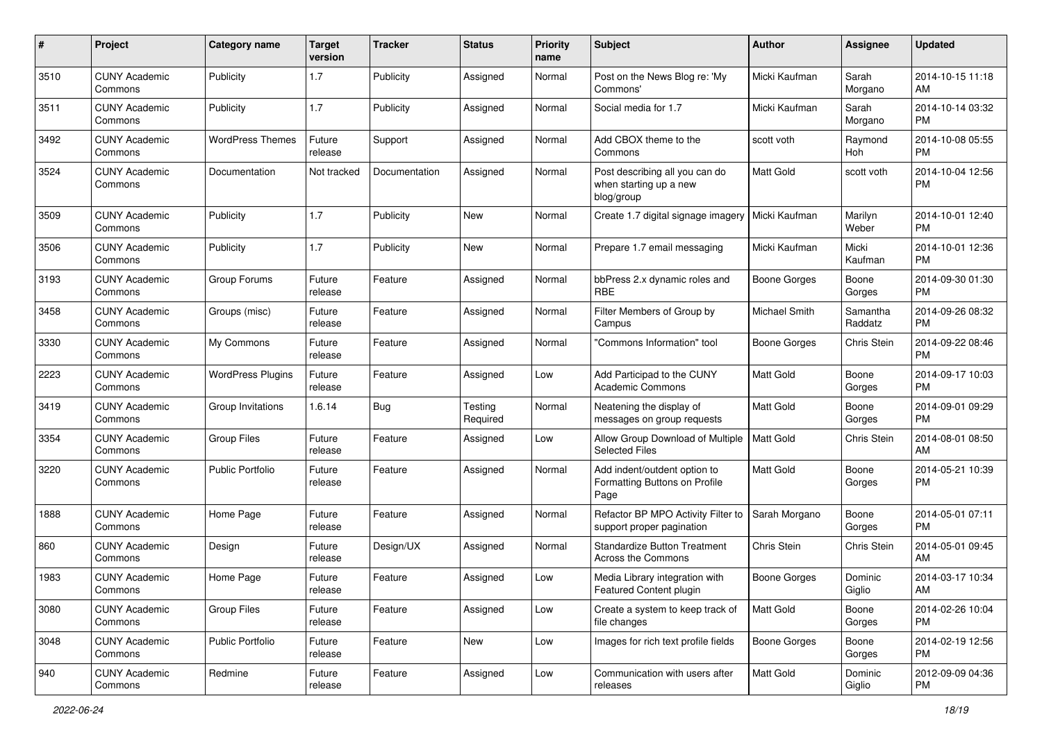| #    | Project                         | <b>Category name</b>     | <b>Target</b><br>version | <b>Tracker</b> | <b>Status</b>       | <b>Priority</b><br>name | <b>Subject</b>                                                         | Author              | Assignee            | <b>Updated</b>                |
|------|---------------------------------|--------------------------|--------------------------|----------------|---------------------|-------------------------|------------------------------------------------------------------------|---------------------|---------------------|-------------------------------|
| 3510 | <b>CUNY Academic</b><br>Commons | Publicity                | 1.7                      | Publicity      | Assigned            | Normal                  | Post on the News Blog re: 'My<br>Commons'                              | Micki Kaufman       | Sarah<br>Morgano    | 2014-10-15 11:18<br>AM        |
| 3511 | <b>CUNY Academic</b><br>Commons | Publicity                | 1.7                      | Publicity      | Assigned            | Normal                  | Social media for 1.7                                                   | Micki Kaufman       | Sarah<br>Morgano    | 2014-10-14 03:32<br><b>PM</b> |
| 3492 | <b>CUNY Academic</b><br>Commons | <b>WordPress Themes</b>  | Future<br>release        | Support        | Assigned            | Normal                  | Add CBOX theme to the<br>Commons                                       | scott voth          | Raymond<br>Hoh      | 2014-10-08 05:55<br><b>PM</b> |
| 3524 | <b>CUNY Academic</b><br>Commons | Documentation            | Not tracked              | Documentation  | Assigned            | Normal                  | Post describing all you can do<br>when starting up a new<br>blog/group | Matt Gold           | scott voth          | 2014-10-04 12:56<br><b>PM</b> |
| 3509 | <b>CUNY Academic</b><br>Commons | Publicity                | 1.7                      | Publicity      | New                 | Normal                  | Create 1.7 digital signage imagery                                     | Micki Kaufman       | Marilyn<br>Weber    | 2014-10-01 12:40<br><b>PM</b> |
| 3506 | <b>CUNY Academic</b><br>Commons | Publicity                | 1.7                      | Publicity      | New                 | Normal                  | Prepare 1.7 email messaging                                            | Micki Kaufman       | Micki<br>Kaufman    | 2014-10-01 12:36<br><b>PM</b> |
| 3193 | <b>CUNY Academic</b><br>Commons | Group Forums             | Future<br>release        | Feature        | Assigned            | Normal                  | bbPress 2.x dynamic roles and<br><b>RBE</b>                            | <b>Boone Gorges</b> | Boone<br>Gorges     | 2014-09-30 01:30<br><b>PM</b> |
| 3458 | <b>CUNY Academic</b><br>Commons | Groups (misc)            | Future<br>release        | Feature        | Assigned            | Normal                  | Filter Members of Group by<br>Campus                                   | Michael Smith       | Samantha<br>Raddatz | 2014-09-26 08:32<br><b>PM</b> |
| 3330 | <b>CUNY Academic</b><br>Commons | My Commons               | Future<br>release        | Feature        | Assigned            | Normal                  | 'Commons Information" tool                                             | <b>Boone Gorges</b> | Chris Stein         | 2014-09-22 08:46<br><b>PM</b> |
| 2223 | <b>CUNY Academic</b><br>Commons | <b>WordPress Plugins</b> | Future<br>release        | Feature        | Assigned            | Low                     | Add Participad to the CUNY<br><b>Academic Commons</b>                  | Matt Gold           | Boone<br>Gorges     | 2014-09-17 10:03<br><b>PM</b> |
| 3419 | <b>CUNY Academic</b><br>Commons | Group Invitations        | 1.6.14                   | Bug            | Testing<br>Required | Normal                  | Neatening the display of<br>messages on group requests                 | <b>Matt Gold</b>    | Boone<br>Gorges     | 2014-09-01 09:29<br><b>PM</b> |
| 3354 | <b>CUNY Academic</b><br>Commons | <b>Group Files</b>       | Future<br>release        | Feature        | Assigned            | Low                     | Allow Group Download of Multiple<br><b>Selected Files</b>              | Matt Gold           | Chris Stein         | 2014-08-01 08:50<br>AM        |
| 3220 | <b>CUNY Academic</b><br>Commons | <b>Public Portfolio</b>  | Future<br>release        | Feature        | Assigned            | Normal                  | Add indent/outdent option to<br>Formatting Buttons on Profile<br>Page  | <b>Matt Gold</b>    | Boone<br>Gorges     | 2014-05-21 10:39<br><b>PM</b> |
| 1888 | <b>CUNY Academic</b><br>Commons | Home Page                | Future<br>release        | Feature        | Assigned            | Normal                  | Refactor BP MPO Activity Filter to<br>support proper pagination        | Sarah Morgano       | Boone<br>Gorges     | 2014-05-01 07:11<br><b>PM</b> |
| 860  | <b>CUNY Academic</b><br>Commons | Design                   | Future<br>release        | Design/UX      | Assigned            | Normal                  | <b>Standardize Button Treatment</b><br><b>Across the Commons</b>       | Chris Stein         | Chris Stein         | 2014-05-01 09:45<br>AM        |
| 1983 | <b>CUNY Academic</b><br>Commons | Home Page                | Future<br>release        | Feature        | Assigned            | Low                     | Media Library integration with<br>Featured Content plugin              | <b>Boone Gorges</b> | Dominic<br>Giglio   | 2014-03-17 10:34<br>AM        |
| 3080 | <b>CUNY Academic</b><br>Commons | Group Files              | Future<br>release        | Feature        | Assigned            | Low                     | Create a system to keep track of<br>file changes                       | Matt Gold           | Boone<br>Gorges     | 2014-02-26 10:04<br><b>PM</b> |
| 3048 | <b>CUNY Academic</b><br>Commons | <b>Public Portfolio</b>  | Future<br>release        | Feature        | New                 | Low                     | Images for rich text profile fields                                    | Boone Gorges        | Boone<br>Gorges     | 2014-02-19 12:56<br><b>PM</b> |
| 940  | <b>CUNY Academic</b><br>Commons | Redmine                  | Future<br>release        | Feature        | Assigned            | Low                     | Communication with users after<br>releases                             | Matt Gold           | Dominic<br>Giglio   | 2012-09-09 04:36<br>PM        |